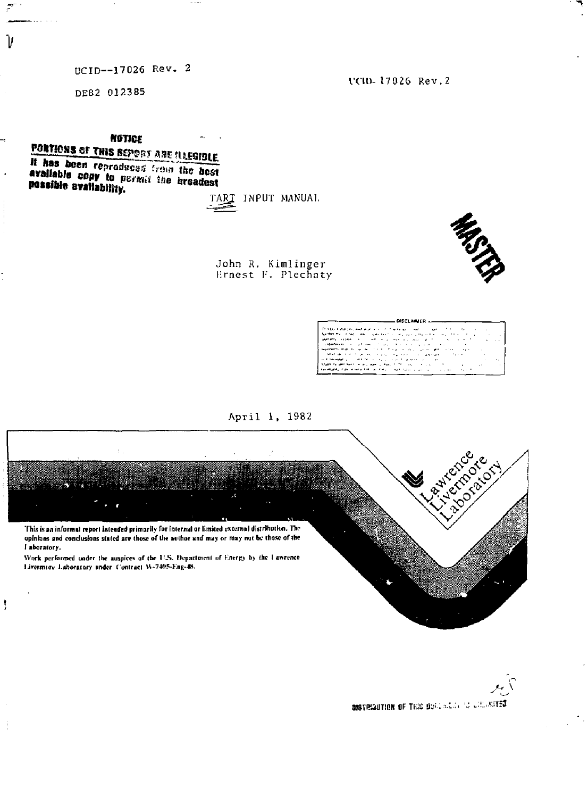# UCID--17026 Rev. 2

DE82 012385

 $\mathcal{P}$ 

Ίı

UCID-17026 Rev.2

**NGTICF** PORTIONS OF THIS REPORT AND ILLEGIBLE

It has been reproduced from the best available copy to permit the broadest possible availability.

TART INPUT MANUAL

John R. Kimlinger<br>Ernest F. Plechaty



| DISCLAMER _____                                                                                                                                                                                                                     |                     |               |
|-------------------------------------------------------------------------------------------------------------------------------------------------------------------------------------------------------------------------------------|---------------------|---------------|
| The figure and property property and the contract of the property of the property of the contract of the contract of the contract of the contract of the contract of the contract of the contract of the contract of the contr      |                     |               |
| Parties the contemplation is completed to the place of the contemplation of the contemplation                                                                                                                                       | ٠                   |               |
| appropriate construction of the control of the control of the control of the control of the control of the control of the control of the control of the control of the control of the control of the control of the control of<br>. | $\hat{\phantom{a}}$ | $\sim$ $\sim$ |
| constant process that the same state of the process of the constant of the constant of the constant of the constant of the constant of the constant of the constant of the constant of the constant of the constant of the con      |                     |               |
| experience that the same contract of the contract program and contract<br>$\cdots$                                                                                                                                                  |                     |               |
| commentation of the contract of the property of the contract of the company of<br><b>Contract Avenue</b>                                                                                                                            |                     |               |
| the community of the first control of the control power control and                                                                                                                                                                 |                     | ۰.            |
| Making for personality in the company of the control of the control of<br>$\sim$                                                                                                                                                    |                     |               |
| the electric state in the action of the context of particular companies of the context of the context                                                                                                                               |                     |               |
|                                                                                                                                                                                                                                     |                     |               |

April 1, 1982



DISTRIGUTION OF THIS DOALSLESS TO CHECKITED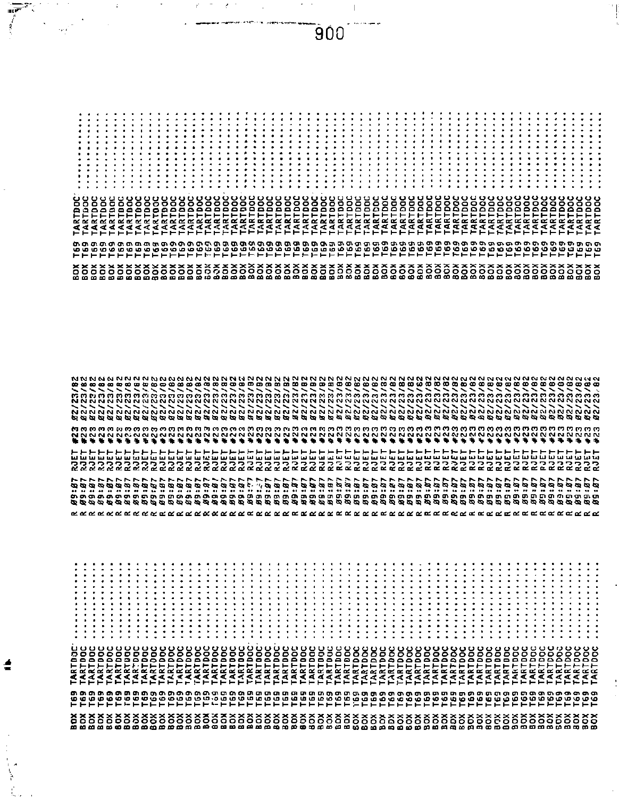$\vdots$ 

 $\vdots$  $\vdots$  $\vdots$  $\frac{1}{2}$  $\frac{1}{4}$ Ì  $\vdots$  $\vdots$  $\vdots$ 

j  $\vdots$  $\vdots$   $\vdots$  $\vdots$  $\vdots$ 

 $\vdots$  $\vdots$ 

|  |  |  |  |  |  |  |  |  |  |  |  |  |  | www.communication.communication.communication.communication.communication.communication.communication.communica |  |  |  |  |  |  |  |  |  |  |
|--|--|--|--|--|--|--|--|--|--|--|--|--|--|-----------------------------------------------------------------------------------------------------------------|--|--|--|--|--|--|--|--|--|--|
|  |  |  |  |  |  |  |  |  |  |  |  |  |  | संस्थान संग्राम व्यक्ति संस्थान संस्थान संस्था संस्था समाप्त को स्थिति संस्था संस्था विवाद संस्था संस्था को बन  |  |  |  |  |  |  |  |  |  |  |
|  |  |  |  |  |  |  |  |  |  |  |  |  |  |                                                                                                                 |  |  |  |  |  |  |  |  |  |  |

**。また、そのこのものです。そのこともあるとものです。そのこともあるのです。そのこのものです。そのでもあるのです。そのでもあるのです。そのこののではあるのです。そのことのこのことである。そのこのこのこの** 

900

 $\overline{r}$ 

 $\hat{\epsilon}$ 

Ħ HH.  $\vdots$  $\vdots$  $\vdots$ 

 $\vdots$  $\vdots$  $\vdots$  $\ddot{H}$  $\vdots$   $\epsilon$ 

 $\vdots$ Ħ Î  $\vdots$  $\frac{1}{2}$ 

 $\vdots$  $\vdots$  $\vdots$  $\vdots$  $\vdots$  $\vdots$ 

 $\ddot{\ddot{\cdot}}$  $\vdots$  $\vdots$ 

 $\vdots$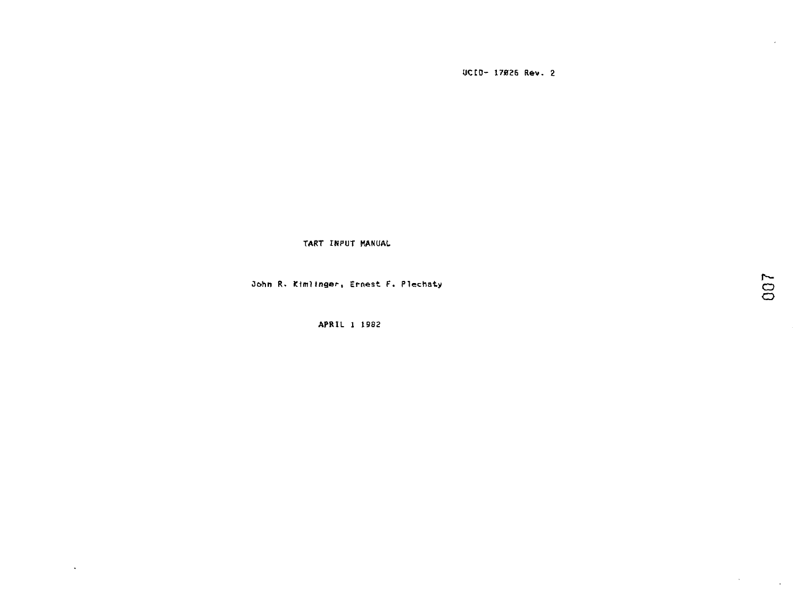**UCtO- 17B26 Rev. 2** 

**TART INPUT MANUAL** 

**Oohn R. Ktmllnger, Ernest F. Plechaty Q** 

**APRIL 1 1982** 

 $\Delta$ 

 $\sim 10^{-11}$ 

 $\sim$   $\sim$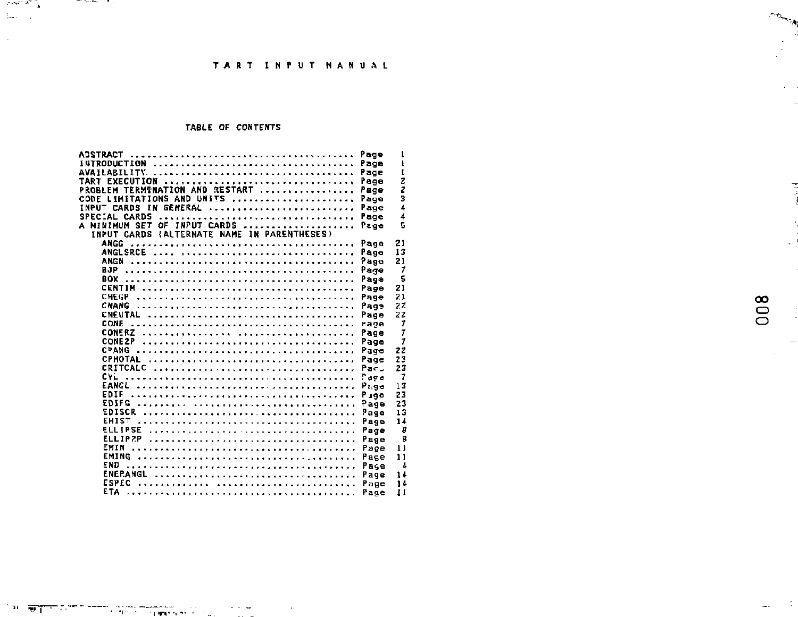## TABLE OF CONTENTS

|      | ASSTRACT                                    |  |            |    |                    |  |  |  |  |  |  |  |  |  |  |  | Page | ı            |
|------|---------------------------------------------|--|------------|----|--------------------|--|--|--|--|--|--|--|--|--|--|--|------|--------------|
|      | INTRODUCTION                                |  |            |    |                    |  |  |  |  |  |  |  |  |  |  |  | Page | ı            |
|      |                                             |  |            |    |                    |  |  |  |  |  |  |  |  |  |  |  | Page | I            |
|      | TART EXECUTION                              |  |            |    |                    |  |  |  |  |  |  |  |  |  |  |  | Page | z            |
|      | PROBLEM TERMINATION AND RESTART             |  |            |    |                    |  |  |  |  |  |  |  |  |  |  |  | Page | ž            |
| CODE | LIMITATIONS AND UNITS                       |  |            |    |                    |  |  |  |  |  |  |  |  |  |  |  | Page | 3            |
|      | <b>INPUT CARDS</b>                          |  | IN GENERAL |    |                    |  |  |  |  |  |  |  |  |  |  |  | Page | 4            |
|      | SPECIAL CARDS                               |  |            |    |                    |  |  |  |  |  |  |  |  |  |  |  | Page | 4            |
| Δ    | MINIMUM SET                                 |  |            | oΕ | <b>INPUT CARDS</b> |  |  |  |  |  |  |  |  |  |  |  | Page | 5            |
|      | INPUT CARDS (ALTERNATE NAME IN PARENTHESES) |  |            |    |                    |  |  |  |  |  |  |  |  |  |  |  |      |              |
|      | <b>ANGC</b>                                 |  |            |    |                    |  |  |  |  |  |  |  |  |  |  |  | Page | 21           |
|      |                                             |  |            |    |                    |  |  |  |  |  |  |  |  |  |  |  | Page | 13           |
|      | <b>ANGN</b>                                 |  |            |    |                    |  |  |  |  |  |  |  |  |  |  |  | Pago | 21           |
|      | BJP.                                        |  |            |    |                    |  |  |  |  |  |  |  |  |  |  |  | Раде | 7            |
|      | <b>BOX</b>                                  |  |            |    |                    |  |  |  |  |  |  |  |  |  |  |  | Page | 5            |
|      |                                             |  |            |    |                    |  |  |  |  |  |  |  |  |  |  |  | Page | 21           |
|      | <b>CHEGP</b>                                |  |            |    |                    |  |  |  |  |  |  |  |  |  |  |  | Page | 21           |
|      |                                             |  |            |    |                    |  |  |  |  |  |  |  |  |  |  |  | Page | 22           |
|      |                                             |  |            |    |                    |  |  |  |  |  |  |  |  |  |  |  | Page | 22           |
|      | CONF                                        |  |            |    |                    |  |  |  |  |  |  |  |  |  |  |  | rage | 7            |
|      |                                             |  |            |    |                    |  |  |  |  |  |  |  |  |  |  |  | Page | 7            |
|      | CONE 2P                                     |  |            |    |                    |  |  |  |  |  |  |  |  |  |  |  | Page | $\mathbf{7}$ |
|      | <b>CPANG</b>                                |  |            |    |                    |  |  |  |  |  |  |  |  |  |  |  | Page | 22           |
|      |                                             |  |            |    |                    |  |  |  |  |  |  |  |  |  |  |  | Page | 23           |
|      |                                             |  |            |    |                    |  |  |  |  |  |  |  |  |  |  |  | Pac. | 23           |
|      | CYL                                         |  |            |    |                    |  |  |  |  |  |  |  |  |  |  |  | Para | 7            |
|      | EANGL                                       |  |            |    |                    |  |  |  |  |  |  |  |  |  |  |  | Page | 13           |
|      | EDIF                                        |  |            |    |                    |  |  |  |  |  |  |  |  |  |  |  | Pine | 23           |
|      | EDIFC                                       |  |            |    |                    |  |  |  |  |  |  |  |  |  |  |  | Page | 23           |
|      | <b>EDISCR</b>                               |  |            |    |                    |  |  |  |  |  |  |  |  |  |  |  | Fage | 13           |
|      | <b>EHIST</b>                                |  |            |    |                    |  |  |  |  |  |  |  |  |  |  |  | Page | 14           |
|      | <b>FLL TRSF</b>                             |  |            |    |                    |  |  |  |  |  |  |  |  |  |  |  | Page | 8            |
|      | FLLTP2P                                     |  |            |    |                    |  |  |  |  |  |  |  |  |  |  |  | Page | g            |
|      | EMIN                                        |  |            |    |                    |  |  |  |  |  |  |  |  |  |  |  | Page | $\mathbf{1}$ |
|      | EMING APPRAISE CONTRACTORS AND CONTRACTORS  |  |            |    |                    |  |  |  |  |  |  |  |  |  |  |  | Page | 11           |
|      | END                                         |  |            |    |                    |  |  |  |  |  |  |  |  |  |  |  | Page | 1            |
|      |                                             |  |            |    |                    |  |  |  |  |  |  |  |  |  |  |  | Page | 14           |
|      | ESPEC                                       |  |            |    |                    |  |  |  |  |  |  |  |  |  |  |  | Page | 14           |
|      |                                             |  |            |    |                    |  |  |  |  |  |  |  |  |  |  |  | Page | Ħ            |

008

 $\sim$ 

 $\mathcal{L}^{\text{max}}$ 

 $\frac{1}{2}$ 

 $\equiv$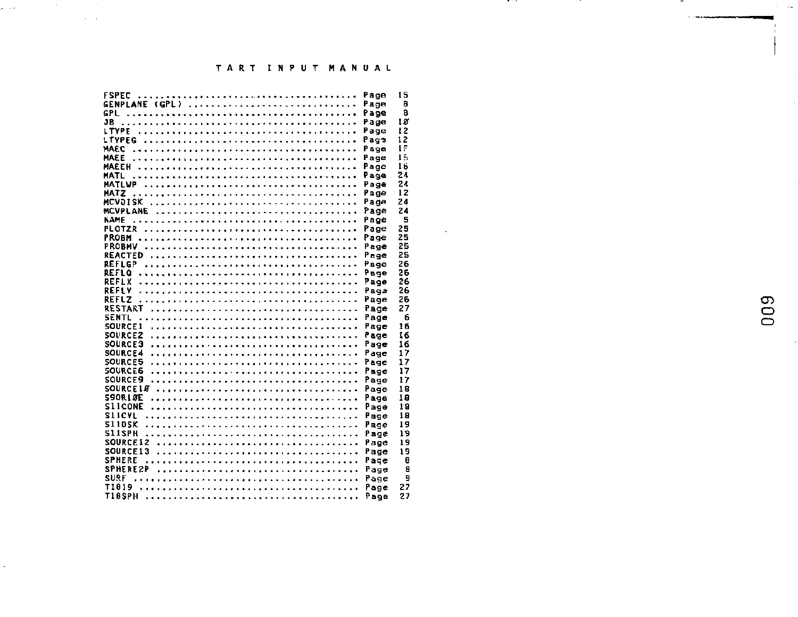| FSPFC          |      | 15 |
|----------------|------|----|
| GENPLANE (GPL) | Page | я  |
|                |      | я  |
|                |      | 10 |
|                |      |    |
|                |      | 12 |
|                |      | 12 |
|                |      | 15 |
|                |      | 15 |
|                |      |    |
|                | Page | 16 |
|                | Page | 24 |
|                |      | 24 |
|                |      | 12 |
|                |      | 24 |
|                | Page |    |
|                | Page | 24 |
|                |      | 5  |
|                |      | 25 |
|                |      |    |
|                |      | 25 |
|                |      | 25 |
|                | Page | 25 |
|                | Page | 26 |
|                |      |    |
| REFLO          |      | 26 |
|                | Page | 26 |
|                | Paga | 26 |
| <b>REFLZ</b>   | Page | 26 |
|                |      |    |
|                | Page | 27 |
|                |      | 6  |
|                |      | 16 |
|                |      | 16 |
|                |      |    |
|                |      | 16 |
|                |      | 17 |
|                |      | 17 |
|                |      | 17 |
|                |      |    |
|                | Page | 17 |
| SOURCE10  Page |      | 18 |
|                |      | 18 |
|                |      |    |
|                |      | 18 |
|                |      | 18 |
|                | Page | 19 |
|                |      | 19 |
|                |      |    |
|                |      | 19 |
|                |      | 19 |
|                |      | 8  |
|                |      |    |
|                |      | 8  |
|                |      | 9  |
|                |      | 27 |
|                |      |    |
|                |      | 27 |

المنتقل المستقلة المنتقلة.<br>والتواصل المنتقل المنتقل المنتقلة المنتقلة

 $\bar{L}$ 

 $\ddot{\phantom{a}}$ 

 $\hat{\vec{r}}$ 

 $\ddotsc$  . The components of  $\ddotsc$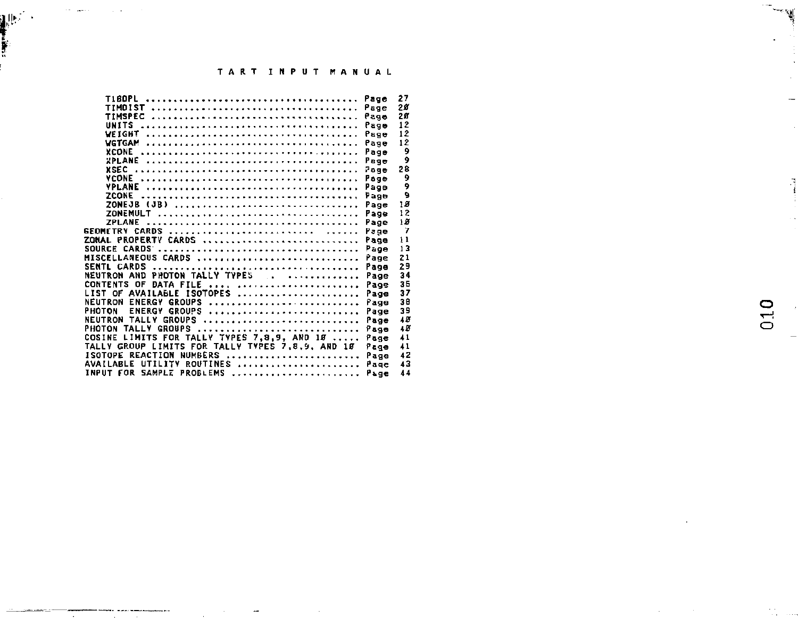| <b>TIBDPL</b>                                    |               | 27<br>Page              |
|--------------------------------------------------|---------------|-------------------------|
|                                                  |               | 28<br>Page              |
|                                                  |               | 28<br>Page              |
| UNITS                                            |               | 12<br>Page              |
|                                                  |               | 12<br>Page              |
|                                                  |               | 12<br>Page              |
|                                                  |               | 9<br>Page               |
|                                                  |               | 9<br>Page               |
|                                                  |               | 28<br>Page              |
| VCONE                                            |               | 9<br>Page               |
|                                                  |               | 9<br>Page               |
| <b>ZCONE</b>                                     |               | 9<br>Page               |
| ZONEJB (JB)                                      |               | 18<br>Page              |
| ZONEMULT                                         |               | 12<br>Page              |
|                                                  |               | 18<br>Page              |
|                                                  |               | 7<br>Page               |
| <b>ZONAL PROPERTY CARDS </b>                     |               | 11<br>Page              |
| SOURCE CARDS                                     |               | 13<br>Page              |
| MISCELLANEOUS CARDS                              |               | 21<br>Page              |
|                                                  |               | 29<br>Page              |
| NEUTRON AND PHOTON TALLY TYPES                   |               | 34<br>Page              |
| <b>CONTENTS OF</b>                               | DATA FILE     | 35<br>Page              |
| LIST OF AVAILABLE ISOTOPES                       |               | 37<br>Page              |
| NEUTRON ENERGY GROUPS                            |               | 38<br>Page              |
| РНОТОМ                                           | ENERGY GROUPS | 39<br>Page              |
| NEUTRON TALLY GROUPS                             |               | 48<br>Page              |
| PHOTON TALLY GROUPS                              |               | 48<br>Page              |
| COSINE LIMITS FOR TALLY TYPES 7,8,9, AND 10      |               | $\overline{41}$<br>Page |
| TALLY GROUP LIMITS FOR TALLY TYPES 7.8.9. AND 18 |               | 41<br>Page              |
| ISOTOPE REACTION NUMBERS                         |               | 42<br>Page              |
| AVAILABLE UTILITY ROUTINES                       |               | 43<br>Page              |
| INPUT FOR SAMPLE PROBLEMS                        |               | 44<br>Page              |
|                                                  |               |                         |

 $\sim$ 

an de la

**|,!fc; ' '** 

i<br>I

**o**  $\Box$ 

™.

 $\frac{3}{4}$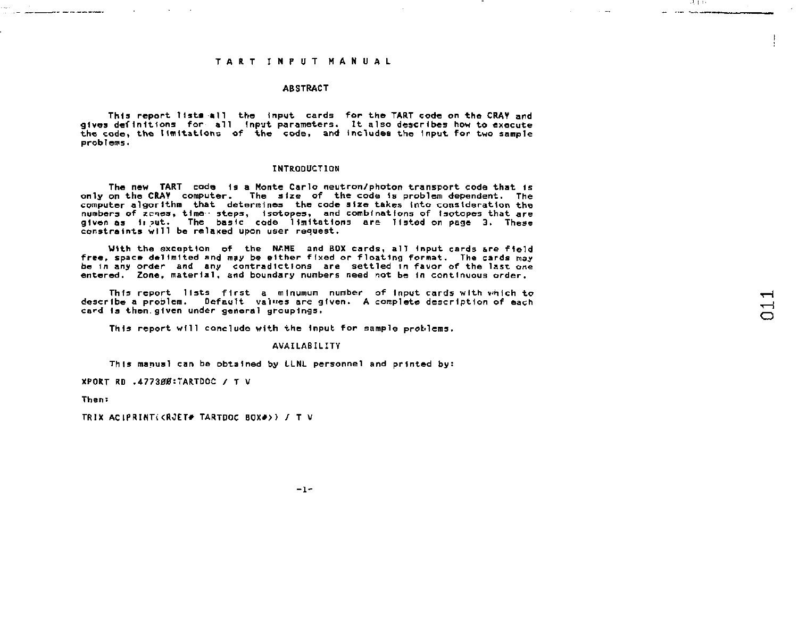#### **ABSTRACT**

**This report l1st« all the Input cards for the TART code on the CRAY and gives definitions for all Input parameters. It also describes how to execute th« code, the limitations of the code, and Includes the Input for two sample problems.** 

### **INTRODUCTION**

**The new TART code Is a Monte Carlo neutron/photon transport code that Is only on the CRAV computer. The size of the code is problem dependent. The computer algorithm that determines the code size takes into consideration the numbers of zcnes, time - steps, isotopes, and combinations of isotopes that are given as 1i ?ut. The basic code limitations are listed on page 3. These constre ints will be relaxed upon user request.** 

**With the exception of the NAME and BOX cards, all Input cards are field free, space delimited and may be either fixed or floating format. The cards may be In any order and any contradictions are settled in favor of the last one entered. Zone, material, and boundary numbers need not be In continuous order.** 

**Thfs report lists first a minumum number of input cards with vhich to describe a problem. Default values are given. A complete description of each card Is then.given under general groupings•** 

**This report will conclude with the Input for sample problems.** 

#### **AVAILABILITY**

This manual can be obtained by LLNL personnel and printed by:

**XPORT RD .4773#0:TARTDOC /T V** 

**Then:** 

the contract of the contract of the contract of

**TRIX AClPRIMi<RJET# TARTDOC B0X#> > /T V** 

. . . . . . .

and the components

 $-1 -$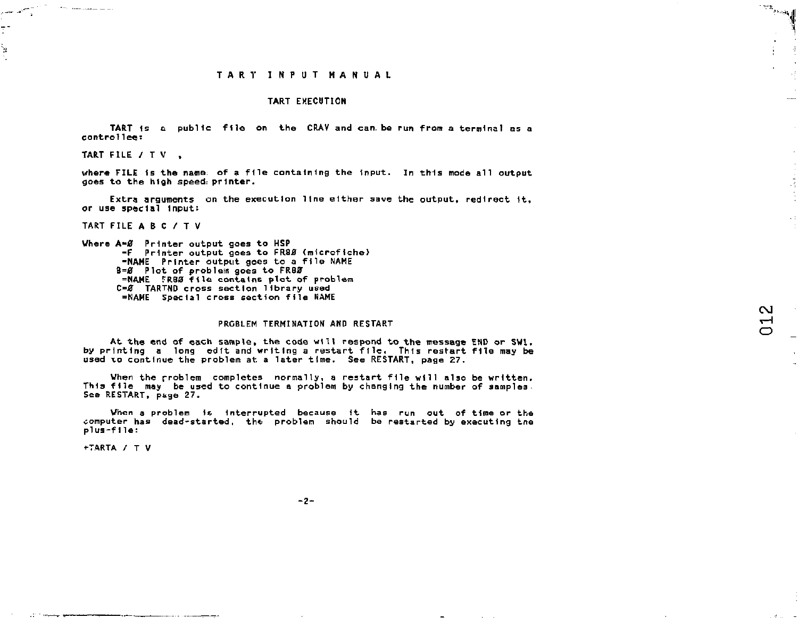$\mathbb{R}^{p \times p}$ 

÷

 $\sim$  $\overline{\phantom{0}}$ 

#### **TART EXECUTION**

**TART 1s a public file on the CRAV and can. be run from a terminal as a control lee:** 

### **TART FILE /T V ,**

**CARD CONTRACTOR** 

سيسمد للديه

¥

**where FILE Is the name, of a file containing the Input. In this mode all output goes to the high speed: printer.** 

Extra arguments on the execution line either save the output, redirect it. **or use special input:** 

### **TART FILE AB C /T V**

**Where A-0 Printer output goes to HSP -F** Printer output goes to FR88 (microfiche) **-NAME Printer output goes to a file NAME B=0 Plot of problem goes to FR80 =NAME TRB0 file contains plot of problem O 0 TARTND cross section library used =NAME Special cross section file NAME** 

#### **PRGBLEM TERMINATION AND RESTART**

**At the end of each sample, the code will respond to the message END or SWl. by printing a long edit and writing a restart file. This restart file may be used 10 continue the problem at a later time. See RESTART, page 27.** 

**When the problem completes normally, a restart file will also be written. This file may be used to continue a problem by changing the number of samples. See RESTART, page 27.** 

**When a problem is Interrupted because it has run out of tine or the computer has dead-started, the problem should be restarted by executing tne plus-f1le:** 

**+TARTA /T V** 

 $-2-$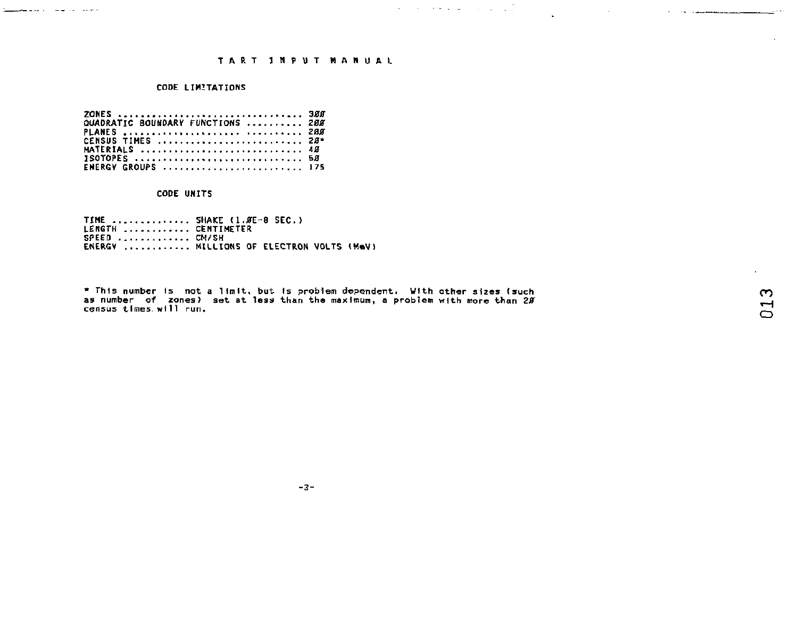## CODE LIMITATIONS

<u>Sandardo de la caracterí</u>

|  |  |  |  |  |  |  |  |  |  |  |  |  |  |  |  |  | QUADRATIC BOUNDARY FUNCTIONS  200 |  |
|--|--|--|--|--|--|--|--|--|--|--|--|--|--|--|--|--|-----------------------------------|--|
|  |  |  |  |  |  |  |  |  |  |  |  |  |  |  |  |  | PLANES   200                      |  |
|  |  |  |  |  |  |  |  |  |  |  |  |  |  |  |  |  | CENSUS TIMES  28*                 |  |
|  |  |  |  |  |  |  |  |  |  |  |  |  |  |  |  |  | MATERIALS  48                     |  |
|  |  |  |  |  |  |  |  |  |  |  |  |  |  |  |  |  | <b>ISOTOPES</b> 50                |  |
|  |  |  |  |  |  |  |  |  |  |  |  |  |  |  |  |  | ENERGY GROUPS  175                |  |

### CODE UNITS

TIME .............. SHAKE (1.*8*E-8 SEC.)<br>LENGTH ............. CM/SH<br>SPEED ............. CM/SH<br>ENERGY ............ MILLIONS OF ELECTRON VOLTS (MeV)

\* This number is not a limit, but is problem dependent. With other sizes (such<br>as number of zones) set at less than the maximum, a problem with more than 2Ø<br>census times will run.

and the second companion of the companion of the companion of the companion of the companion of the companion

 $-3-$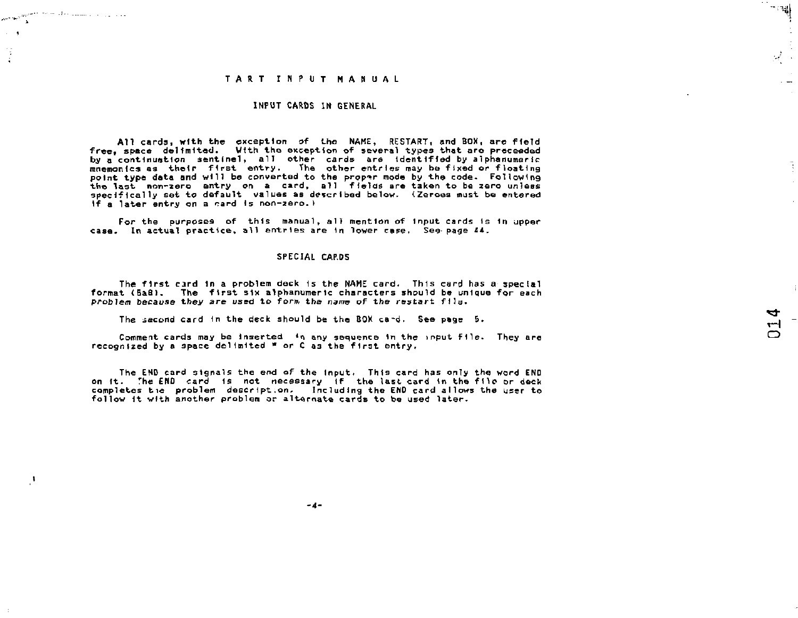$\sim 10^{-100}$ 

÷,  $\Delta$ 

 $\mathcal{A}$ 

وزارا وارتداء ومستداداته للانتجاب

### **INPUT CARDS IN GENERAL**

**All cards, with the exception of the NAME, RESTART, and BOX, are field free, space delimited. With the, exception of several types that are proceeded**  by a continuation sentinel, all other cards are identified by alphanumeric **mnemonics as their first entry. The other entries may be fixed or floating**  point type data and will be converted to the proper mode by the code. Following<br>the last "nom-zero" entry on "a card, "all" fields are taken to be zero unless<br>specifically set to default "values as described below." (Zeroe **if a later entry on a card Is non-zero.I** 

**For the purposes of this manual, all mention of input cards is 1n upper case. In actual practice, all entries are In lower case. See-page 44.** 

#### SPECIAL CAP<sub>D5</sub>

**The first card in a problem deck 1s the NAME card. This card has a special format (5a8). The first six alphanumeric characters should be unique for each problem because they are used to form the name of the restart file.** 

**The .second card 1n the deck should be the BOX ca-ti. See page 5.** 

**Comment cards may be Inserted \*ri any sequence 1n the input file. They are**  recognized by a space dolimited \* or C as the first entry,

**The EMD card signals the end of the Input. This card has only the word END on it. The END card Is not necessary if the last card in the file or deck completes tie problem deserlpt.on. Including the END card allows the user to follow it with another problem or alternate cards to be used later.** 

↽ ᆔ ට

ં ∵ાસુ∖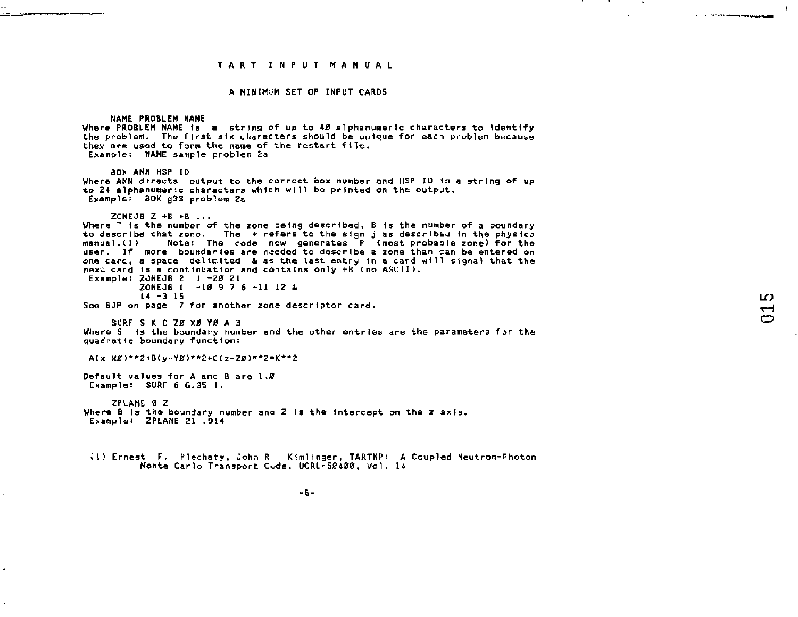.<br>The construction of the construction of the control of the control of the control of the control of the control

### **A HINIMOM SET OF INPUT CARDS**

**NAME PROBLEM NANE**  Where PROBLEM NAME is a string of up to 40 alphanumeric characters to identify **the problem. The first six characters should be unique for each problem because they are used to forw the name of the restart file. Example: NAME sample problem £a SDK ANN HSP ID Where ANN directs output to the correct box number and HSP ID is a string of up to 24 alphanumeric characters which will be printed on the output. Example: BOX g33 problem 2a ZONEJB Z +E +B ... Where** *~\** **Is the number of the zone being described, B is the number of a boundary**  to describe that zone. The + refers to the sign j as described in the physica<br>manual.(1) — Note: The code now generates P (most probable zone) for the<br>user. If more boundaries are needed to describe a zone than can be ente **one card, a space delimited & as the last entry in a card will signal that the next card is a continuation and contains only +B (no ASCII). Example: 20NEJB 2 1** *-ZB* **Zl ZONEJB t -10 9 7 6 -11 12 & 14 -3 15 See BJP on page 7 for another zone descrIptor card. SURF S K C Z0 XJ&** *VIS* **A B Where S 1s the boundary number and the other entries are the parameters f^r the quad rat 1c bounda ry f u net 1 on: A(x-Xj0)\*\*2 + B{y-Y0)\*\*2+C<z-Ztf)\*\*Z-K\*'t2 Default values for A and B are 1.0 Example: SURF 6 6.35 1. ZPLANE B 2 Where B is the boundary number ana Z is the intercept on the z axis. Example! ZPLANE 21 .914**  *il)* **Ernest F. Plechaty, John R Kimlinger, TARTNP: A Coupled Neutron-Photon Monte Carlo Transport Code, UCRL-50400, Vol. 14** 

 $-5 -$ 

 $\overline{0}$  $\blacksquare$ 

 $\cdots$ 

**Contract American Separature**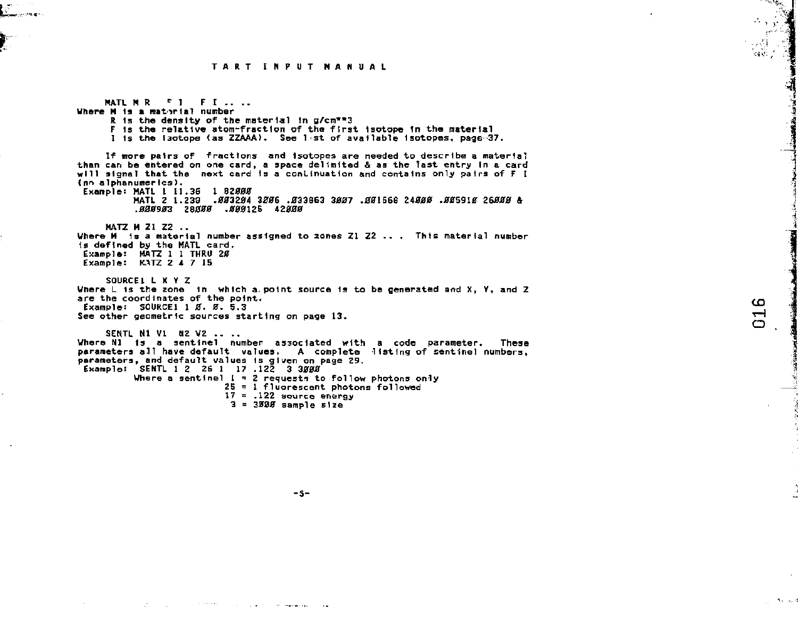ce di

 $\mathbf{C}$  $\overline{\phantom{0}}$ 

**MATL M R <sup>r</sup> 1 F I .. .. Where M is a material number R is the density of the material In g/cn\*"3 F Is the relative atom-fraction of the first, isotope In the material I Is the isotope (as ZZAAA>. See 1>st of available Isotopes, page 37. If more pairs of fractions and Isotopes are needed to describe a material than can be entered on one card, a space delimited** *&* **as the last entry In a card will signal that the next card Is a continuation and contains only pairs of F I < nr> alphanumer Ics). Exanple: MATL I 11.36 1 82000 MATL Z 1.230 .003204 3006 .033863 3007 .001668 24000 .005910 26000 & .000903 28000 .000125 42000 MATZ M 21 Z2 .. Where M Is a material number assigned to zones Zl Z2 .. , This material number Is defined by the MATL card. Example: MATZ 1 1 THRO 20 Example: KATZ 2 4 7 15 SOURCE 1 L X V Z Where L is the zone In which a. point source Is to be generated and X, Y, and Z are the coordinates of the point. Exanple: SOURCE1 1 0. 0. 5.3 See other geometric sources starting on page 13. SENTL Ml VI N2 V2 .. .. Where Nl Is a sentinel number associated with a code parameter. These parameters all have default values. A complete listing of sentinel numbers, parameters, and default values Is given on page 29. Example: SENTL 1 2 25 1 17 .122 3 3000 Where a sentinel 1= 2 requests to follow photons only 25 = 1 fluorescent photons followed 17 = .122 source energy 3 = 3000 sample size** 

 $-5-$ 

the company's con-

common contracts and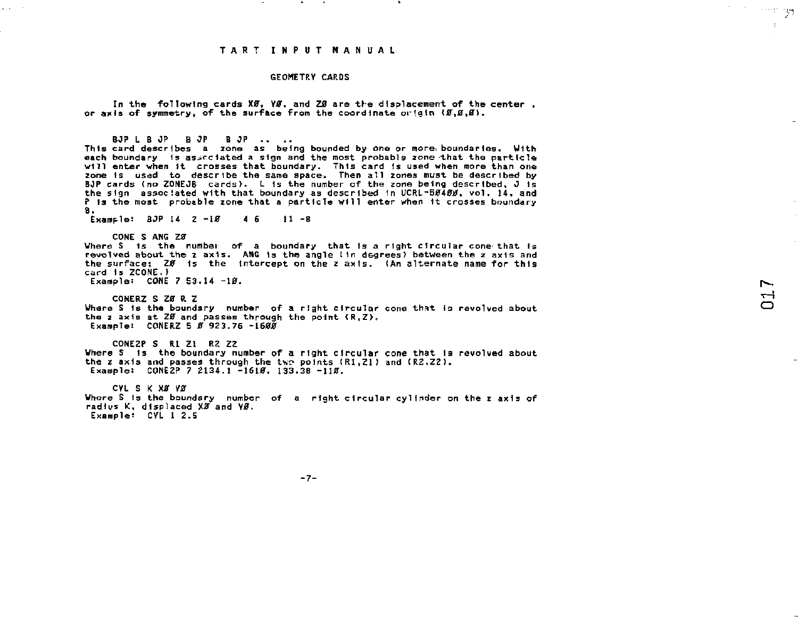#### **GEOMETRY CARDS**

In the following cards X0, Y0**,** and Z0 are the displacement of the center , **or axis of symmetry, of the surface from the coordinate origin (5,5,5),** 

**BOP L B OP 8 OP B OP .. .. This card describes a zone as being bounded by one or more, boundaries. With each boundary 1s asjcclated a sign and the most probable zone that the particle will enter when it crosses that boundary. This card Is used when more than one zone ts used to describe the same space. Then all zones must be described by BOP cards (no ZOMEOB cards). L is the number of the zone being described, 0 Is the sign associated with that boundary as described In UCRL-50400, vol. 14, and P Is the most probable zone that a particle will enter when it crosses boundary B. Example: 8JP 14 2 -10 4 6 11 -8 CONE S ANG ZE Where S 1s the number of a boundary that 1s a right circular** *cons-* **that fs revolved about the** *z* **axis. ANG 1s the angle tin degrees) between the z axis and the surface; Z0 1s the intercept on the z axis. (An alternate name for this card Is ZCONE.> Example: CONE 7 S3.14 -10. CONERZ SZ0 U**  Where S is the boundary number of a right circular cone that is revolved about **the 2 axis at Z0 and passes through the point <R,Z>, Example: CONERZ 5 0 923.76 -1600 C0NE2P S R.1 Zl RZ ZZ Where S is the boundary number of a right circular cone that Is revolved about**  the z axis and passes through the two points (R1.Z1) and (R2.Z2). **Exaraplei C0NE2P 7 2134.1 -1610. 133.38 -110. CVL S K X0** *V8*  **Whore S is the boundary number of a right circular cylinder on the z axis of**  radius K, displaced XD and VD.

**Example: CVL 1 2.5** 

 $\sim$ 

**Contractor** 

 $-7-$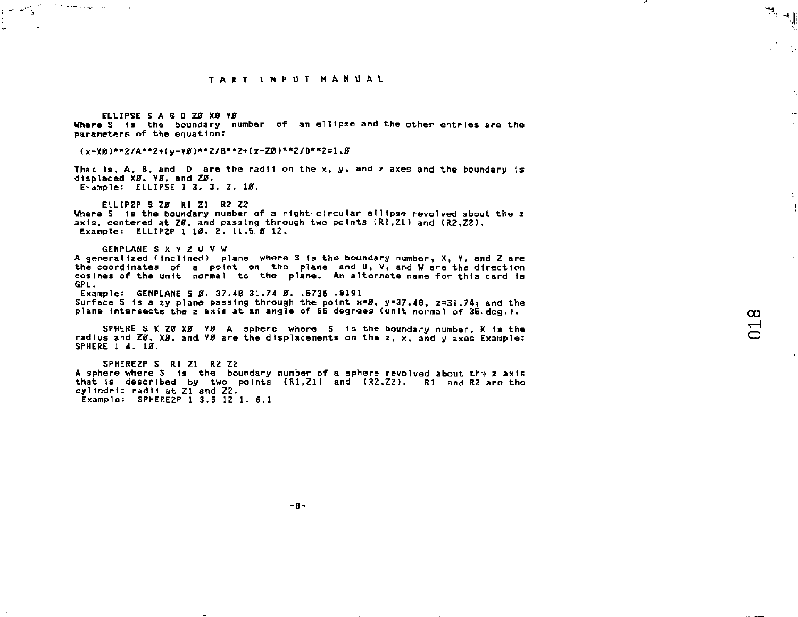**ELLIPSE 5 A B D Z0 X0 Y0 Where S is the boundary number of an ellipse and the other entries are the parameters** *of* **the equation:** 

### **(x-X0)\*\*2/A"Z + (y-V0>\*\*2/B\*"2+(l-Zjer>\*\*2/D\*\*2 = 1.0**

**That, is. A, B, and D are the radii on the** *x.* **y, and z axes and the boundary is displaced X0. Y0, and** *Z\$.*  **E-dTiple: ELLIPSE 1 3. 3. Z. 10.** 

**ELLIPZP S Z0 Rl Zl R2 Z2**  Where S is the boundary number of a right circular ellipse revolved about the z **axis, centered at Z0. and passing through two points LEU.ZL ) and (R2,Z2>. Example: ELLIPZP 1 10. 2. U. 5 0 12.** 

```
GENPLANE S X V Z U V W
```
The second company of the

**A generalized (Inclined) plane where S Is the boundary number, X, Y, and Z are the coordinates of a point on the plane and U, V, and W are the direction cosines of the unit normal to the plane. An alternate name for this card is GPL.** 

**Example: GENPLANE 5** *Z.* **37.48 31.74 0. .5736 .8191 Surface 5 1 s a zy plane passing through the point x«0, y=37.48, 2»31.74t and the plane Intersects the z axis at an angle of 55 degrees (unit normal of 3S deg.>.** 

**SPHERE S K Z0 X0 Y0 A sphere where S Is the boundary number, K is the radius and Z0, X0, and Y0 are the displacements on the 2, x, and y axes Example: SPHERE 1 4. 10.** 

**SPHEREZP S Rl Zl R2 Z2**  A sphere where S is the boundary number of a sphere revolved about the z axis that is described by two points (R1.Z1) and (R2.Z2). Rl and R2 are the **cyllndric radii at Zl and Z2. Example: SPHERE2P 1 3.5 12 1. 6.1** 

 $\mathbb{R}_{\mathbb{Z}^n}$ 

 $\mathbb{C}^1$ ×,

 $-9-$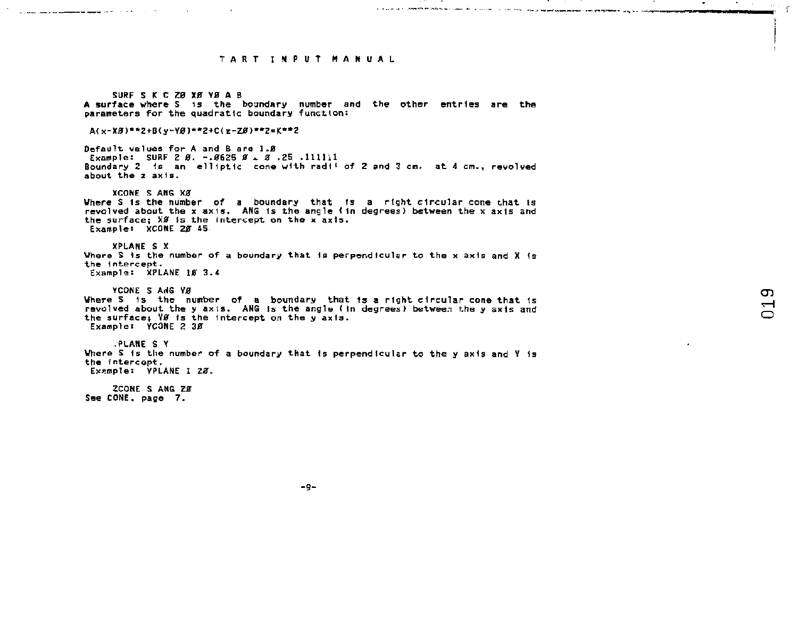$\sim$ 

a complete a complete service of the contract of the contract of the contract of the contract of the contract of the contract of the contract of the contract of the contract of the contract of the contract of the contract

ה.<br><del>לא המוקמת המקומות של</del> המוקמה המוקדלים במה המוקמת המוקמה במה מידי היה היה היה היה מידי המוקמי להיות המוקמה היה ה

**SURF S K C** *Z0* **XJ0T VJB A B**  A surface where S is the boundary number and the other entries are the **parameters** for the quadratic boundary function: **A(x-X0)\*\*2+B(y-Y0)\*\*2+C<z-Z0)\*\*2=K\*\* 2 Default values for A and B are 1.8**<br>**Example:** SURF 2 Ø. ~.Ø625 Ø. Ø.25,111111 **Example: SURF 2 0, -.0625 0** *\*.* **0 .25 .llllil Boundary 2 Is an elliptic cone with rad 1 < of 2 and 3 cm. at** *A* **cm., revolved about the z ax 1s. XCONE S AHG X0 Where S is the number of a boundary that ts a right circular cone that is revolved about the x axis. ANG Is the angle <In degrees) between the x axis and the surface; X0 Is the Intercept on the x axis. Example: XCQNE 20 45 XPLANE S X Where S Is the number of a boundary that Is perpendfcular to the x axis and X Is the 1ntercept. Example: XPLANE 10 3.4**  YCONE **S ANG YA** Where S is the number of a boundary that is a right circular cone that is **revolved about the y axis. ANG Is the angle (In degrees) between the y axis and the surface; V0 Is the Intercept on the y axis. Example: YCONE 2 30 .PLANE S Y Where S Is the number of a boundary that (s perpendicular to the y axis and V Is the intercept. Example: YPLANE 1** *20-* **ZCONE S ANG Z0 See CONE, page 7.** 

 $\sigma$  $\overline{\phantom{0}}$ 

 $-0-$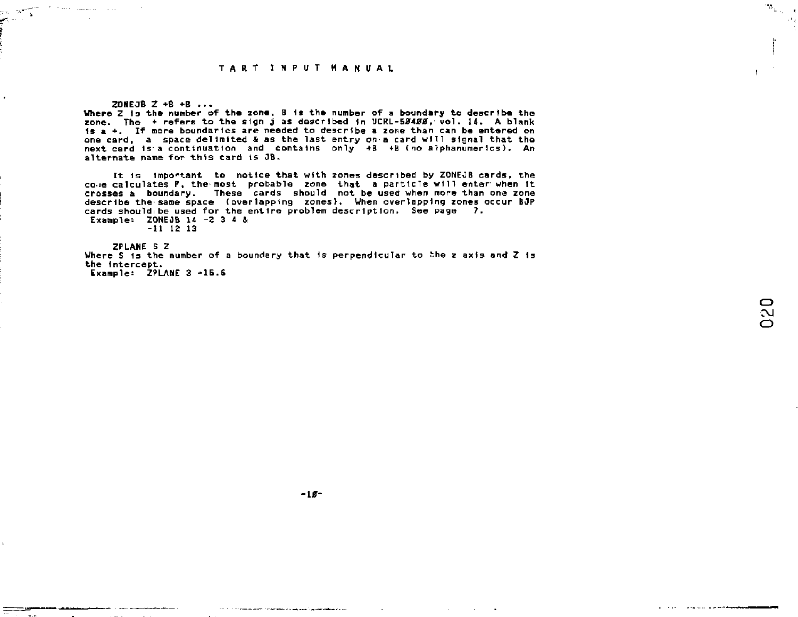ZONEOB Z +B **+B** ...

and the state of the company

es and lan ini

> **Where** Z Is **the** number of the zone, B 1\* the number of a boundary to describe the zone. The + refers to the sign j as described in UCRL-50400, vol. 14. A blank Is a +. If more boundaries *are* needed to describe a zone than can be entered on one card, a space delimited & as the last entry on a card Will signal that the next card is a continuation and contains only +B +B (no alphanumerics). An alternate name for this card ts 3B.

> It 1s important to notice that with zones described by ZONEJB cards, the co-ie calculates P, the-most probable zone that a particle will enter'when It crosses a boundary. These cards should not be used when more than one zone describe the'same space {overlapping zones). When overlapping zones occur BJP cards should be used for the entire problem description. See page 7. Example: ZONE JB 14 -2 3 4 &

-11 12 13

ZPLANE 5 Z Where S is the number of a boundary that is perpendicular to the z axis and Z is the intercept. Example: ZPLANE 3 -16.6

 $\mathcal{B}_{\mathrm{L},\mathrm{L}}$ 

**-10-**

the continuum and continued and analysis of an experimental continues.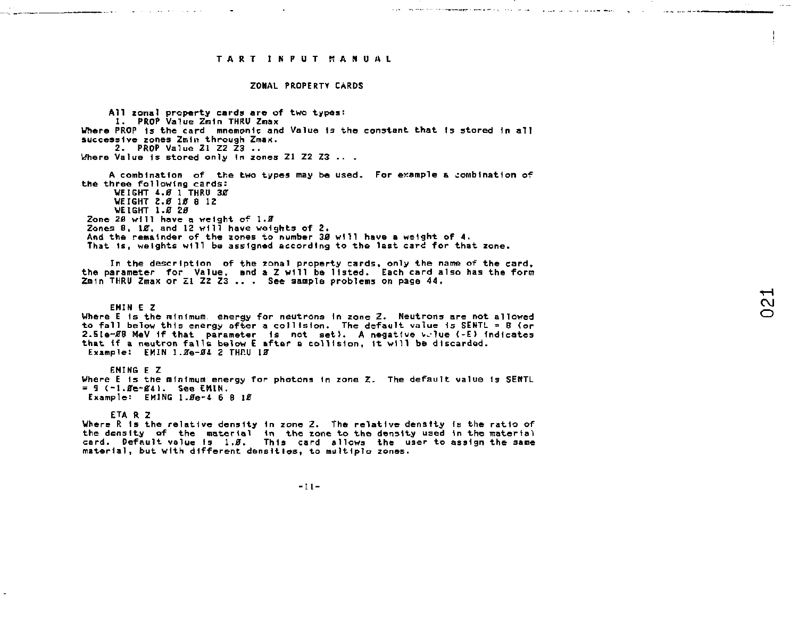and the company of the company special control of the company and a support of the company of the company of the

#### **ZONAL PROPERTY CARDS**

**All zonal property cards are of two types; 1. PROP Value Znln THRU Zmax Where PROP Is the card mnemonic and Value Is the constant that Is stored In all successive zones 2min through Zmax. 2. PROP Value Zl ZZ Z3 ..**  Where Value is stored only in zones Z1 Z2 Z3 .. . **A combination of the two types may be used. For ewample & combination of** 

**the three following cards: WEIGHT 4.8 1 THRU 30 WEIGHT 2.0 10 8 12 WEIGHT 1.0 20**  Zone 2*9* will have a weight of 1.8 **Zones 8, 10, and 12 will have weights of 2. And the remainder of the zones to number 30 will have a weight of 4. That Is, weights will be assigned according to the last card for that zone.** 

**In the description of the zonal property cards, only the name of the card, the parameter for Value, and a Z will be listed. Each card also has the form Z m m THRU Znax or Zl ZZ Z3 .. . See sample problems on page 44.** 

**EMIN E Z Where E Is the minimum energy for neutrons In zone Z. Neutrons are not allowed to fall below this energy after a collision. The default value Is SEKTL = S (or**  2.5Le~08 MeV if that parameter is not set). A negative wilue (-E) indicates **that If a neutron falls below £ after a collision, It will be discarded. Example: EMIN 1.8e-04 2 THP.U 10** 

**EMING E Z Where E is the minimum energy for photons in zone** *Z.* **The default value Is SENTL**   $= 9 (-1.6e-64)$ . See EMIN. **Example: EHING I.0e-4 6 8 10** 

**ETA R Z** 

<u> 2000 - Andrea States, američki politički profesor (d. 1982)</u>

Where R is the relative density in zone Z. The relative density is the ratio of **the density of the material in the zone to the density used In the material card. Default value Is 1.0. This card allows the user to assign the same material, but with different densities, to multiple zones.** 

 $-11-$ 

**Contract Contract Contract**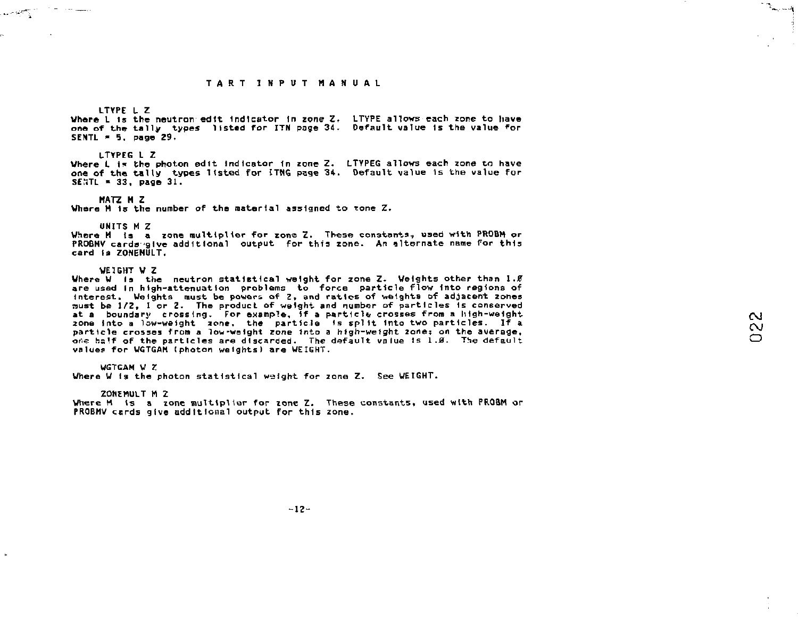#### **LTYPE L Z**

 $\omega = 9.7\%$ 

**Where L is the neutron edtt Indicator In zone** *Z,* **LTYPE allows each zone to have one of the tally types listed for ITN page 3d. Default value Is the value for SENTL - 5, page 29.** 

#### **LTYPEG L Z**

**Where L 1\* the photon edit indicator In zone Z. LTYPEG allows each zone tc have one of the tally types listed for 1TMG page 34. Default value Is the value far SEMTL - 33, page 31.** 

#### **MATZ M Z**

**Where M Is the number of the material assigned to Tone** *Z.* 

#### **UNITS M Z**

**Where M la a zone multiplier for zone Z. These constants, used with PROBM or PROBHV carda'give additional output for this zone. An alternate name for this card la ZONEMULT.** 

#### **WEIGHT V Z**

**Where W Is the neutron statistical weight for zone Z. Weights other than** *1.0*  **are used In htgh-attenuatIon problems to force particle flow Into regions of interest. Weights must be powers of 2, and ratios of weights of adjacent zones aust be 1/2, 1 or Z. The product of weight and number of particles Is conserved at a boundary crossing. For example. If a particle crosses from a high-weight**  zone into a low-weight zone, the particle is split into two particles. If a **particle crosses from a low-weight zone Into a high-weight 2one; on the average, or.e hslf of the particles are discarded. The default value is 1** *.0.* **The default value? for VGTGAM (photon weights) are WEIGHT.** 

#### **WGTGAM W** *Z*

**Where W is the photon statistical weight for zone Z. See WEIGHT.** 

#### **ZOHEMULT M Z**

**Where M Is a zone multiplier for zone Z. These constants, used with PROBM or PROBHV cards give additional output for this zone.** 

 $\Delta_{\rm max}$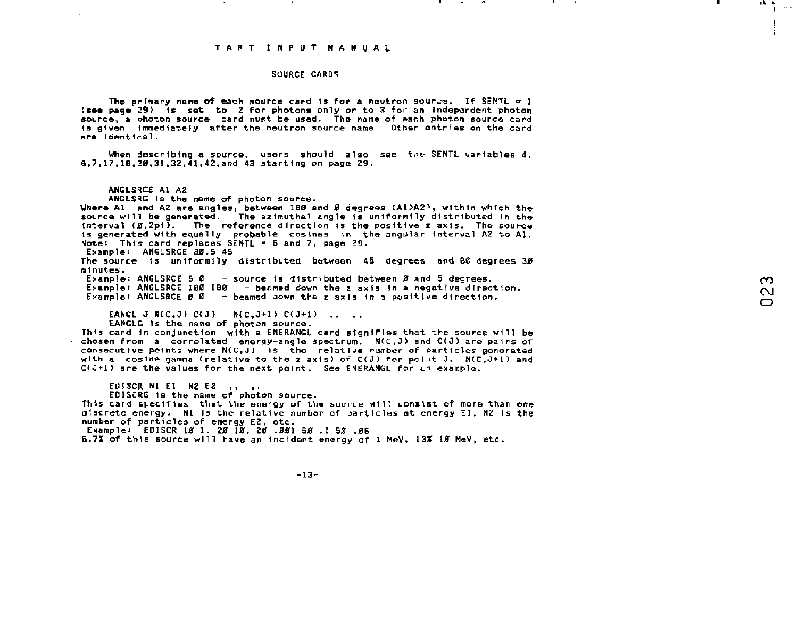#### SOURCE CARDS

The primary name of each source card is for a neutron source. If SENTL  $\bullet$  1 [£•• page 29> Is set to Z for photons only or to 3 for an Independent photon source, a photon source card must be used. The name of each photon source card Is given Immediately after the neutron source name Other entries on the card are Identical.

When describing a source, users should also see the SENTL variables  $4$ . 6,7,17,18.30.31.32,41,42,and 43 starting on page 29.

ANGLSRCE Al A2

ANGLSRG ts the name of photon source.

Where A1 and A2 are angles, between 180 and Ø degrees (A1>A2), within which the source will be generated. The azimuthal angle is uniformily distributed in the interval (g,2pi). The reference direction is the positive z axis. The source is generated with equally probable cosines in the angular interval AZ to Al.<br>Note: This card replaces SENTL = 6 and 7, page 29.

Example: ANGLSRCE 80.5 45

The source Is unlformlly distributed between 45 degrees and 80 degrees 30 minutes.

Example: ANGLSRCE 5 0 - source Is distributed between *2* and 5 degrees. Example: ANGLSRCE 180 180 - beamed down the *z* axis in a negative direction. Example: ANGLSRCE 0 0 - beamed down the *z* axis in *z* positive direction.

EANGL J N(C.J)  $C(J)$  B(C.J+1)  $C(J+1)$  ...

EANGLG Is the name of photon source.

This card in conjunction with a ENERANGL card signifies that the source will be chosen from a correlated enerqy-angle spectrum. N(C,J) and C(0) are pairs of consecutive points where N(C,J} is the relative number\* of particles generated with a cosine gamma (relative to the z axis) of  $C(J)$  for point J.  $N(C,J+1)$  and  $C(1+1)$  are the values for the next point. See ENERANGL for  $i.e.$  example.

ECISCR NI EI NZ EZ ....

EDISCRG is the name of photon source.

This card specifies that the energy of the source will consist of more than one discrete energy. Nl Is the relative number of particles at energy El, NZ is the number of particles of energy E2, etc.

Example: EDISCR 10 1, 20 10, 20 .001 50 .1 50 .05

6.7% of this source will have an Incident energy of 1 MeV, 13X 10 MeV, etc.

 $\sim$  $\sim$ 

19 H

 $-13-$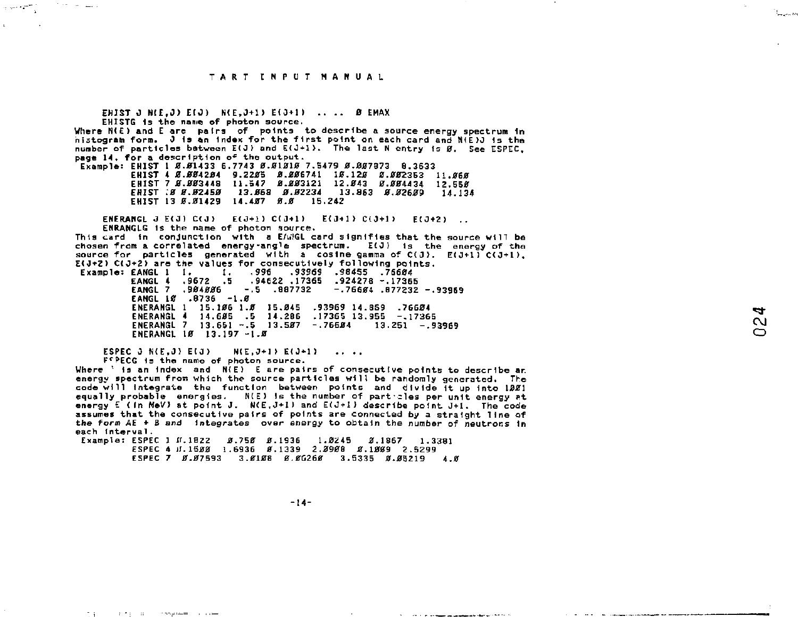the same of the

EHIST J N(E.J) E(J) N(E.J+1) E(J+1) .... Ø EMAX EHISTG is the name of photon source. Where N(E) and E are pairs of points to describe a source energy spectrum in nistogram form. J is an index for the first point on each card and N(E)J is the number of particles between  $E(J)$  and  $E(J+1)$ . The last N entry is  $B$ . See ESPEC. page 14. for a description of the output. Example: FHIST 1 8.81433 6.7743 8.81818 7.5479 8.887873 8.3633 FHIST 4 8-884284 9-2285 8-886741 18-128 8-882353 11-868 EHIST 7 0.003448 11.547 0.003121 12.043 0.004434 12.550 EHIST : 0 0.82450 13.668 0.82234 13.863 0.02609 14.134 ENIST 13 Ø.Ø1429 14.407 Ø.Ø 15.242 **ENFRANCI, J. E(J) C(J) E(J+1) C(J+1) E(J+1) C(J+1) E(J+2) FNRANGLG is the name of photon source.** This card in conjunction with a EANGL card signifies that the source will be chosen from a correlated energy-angle spectrum. E(J) is the energy of the source for particles generated with a cosine gamma of  $C(J)$ .  $E(J+1)$   $C(J+1)$ . E(J+2) C(J+2) are the values for consecutively following points. Example: EANGL 1 1. 1. 996 93969 .98455 .76684<br>EANGL 4 .9672 .5 .94622 .17365 .924278 -.17365 EANGL 7 .904006 -.5 .007732  $-.76694$   $.877232 - .93969$ EANGL 10 .8736 -1.0 ENERANGL 1 15.106 1.0 15.045 .93969 14.859 .76604 ENERANGL 4 14.605 .5 14.286 .17365 13.955 -.17365 ENERANGL 7 13.651 -. 5 13.507 -. 76604 13.251 -. 93969 ENERANGL 10 13.197 -1.5 **ESPEC 3 N(F.3) E(3)**  $N(E, J+1) E(J+1)$  ...

FFPECG is the name of photon source. Where ' is an index and  $N(E)$  E are pairs of consecutive points to describe an energy spectrum from which the source particles will be randomly generated. The code will integrate the function between points and divide it up into 1981 equally probable energies. N(E) is the number of particles per unit energy at energy E (In NeV) at point J. N(E, J+1) and E(J+1) describe point J+1. The code assumes that the consecutive pairs of points are connected by a straight. Tine of the form AE + B and integrates over energy to obtain the number of neutrons in each interval.

ESPEC 4 JJ.1500 1.6936 0.1339 2.0908 0.1009 2.5299 ESPEC 7 0.07593 3.0108 0.06260 3.5335 0.05719 4.0

The computer and composed

 $-14-$ 

the company of the company of the company of the company of the company

 $\sim$  $\sim$  and and state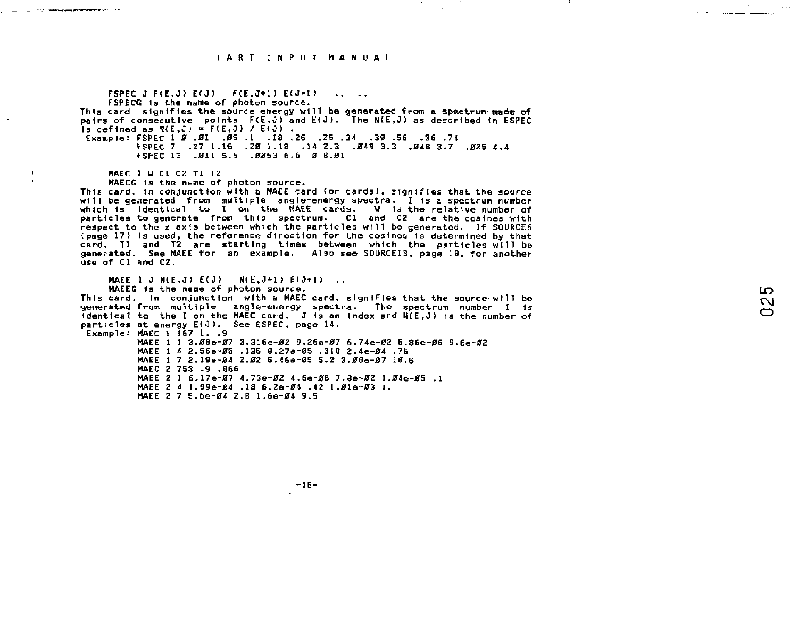the property of the control of the

**FSPEC J FfE.JI E<0) F<E.J+1) E<J\*I ! .. .. FSPECG Is the name of photon source. This card signifies the source energy will be generated from a spectrum-made of pairs of consecutive points F(E,J)** and E(J). The N(E,J) as described in ESPEC **is defined as**  $N(E, J) = F(E, J) / E(J)$ **. Exair.ple: FSPEC 1** *2* **.01 .06 .1 .18 .26 .25 .34 .39 .56 .36 .74 \*PPEC 7 .27 1.16 .20 1.18 .14 2.3 .049 3.3 .048 3.7 .025 4.4 FSPEC 13 -011 5.5 .0053 6.6 0 8.01 HAEC 1 U CI C2 Tl TZ MAECG is the n=me of photon source. This card, in conjunction with e MAEE card (or cards), signifies that the source**  will be generated from multiple angle-energy spectra. I is a spectrum number of<br>which is identical to I on the spectrum. Cl and C2 are the cosines with<br>particles to the zaxis between which the particles will be generated. (page 17) is used, the reference direction for the cosines is determined by that<br>card. T1 and T2 are starting times between which the particles will be<br>generated. See MAEE for an example. Also see SOURCEI3, page 19, for an **use of CI and C2. MAEE 1 J N(E,J) E(J) N(E,J+1) E(J+1) .. MAEEG is the name of photon source. This card. in conjunction with a MAEC card, signifies that the source-wHI be generated from multiple angle-energy spectra. The spectrum number I is identical to the I on the MAEC card.** J is an index and N(E.J) is the number of **particles at energy E(0). See ESPEC, page 14. Example: MAEC I 157 1. .9 MAEE 1 1 3.08e-07 3.316e-02 9.26e-07 6.74e-02 5.86e-06 9.6e-02 MAEE 1 4 2.56e-0S .135 8.S7e-05 ,318 2.4e-04 .75**  MAEE 1 7 2.19e~04 2.02 5.46e-05 5.2 3.08e-07 10.5 **MAEC 2 753 .9 .866 MAEE 2 1 6.17e-07 4.73e-0Z 4.6e-06 7.Be-0Z 1-04e-05 .1 MAEE Z 4 1.99e-04 -IB 6.Ze-04 .42 1.01e-03 1. MAEE 2 7 5.6e-04 2.B 1.6e-04 9.5** 

LO.

 $-15-$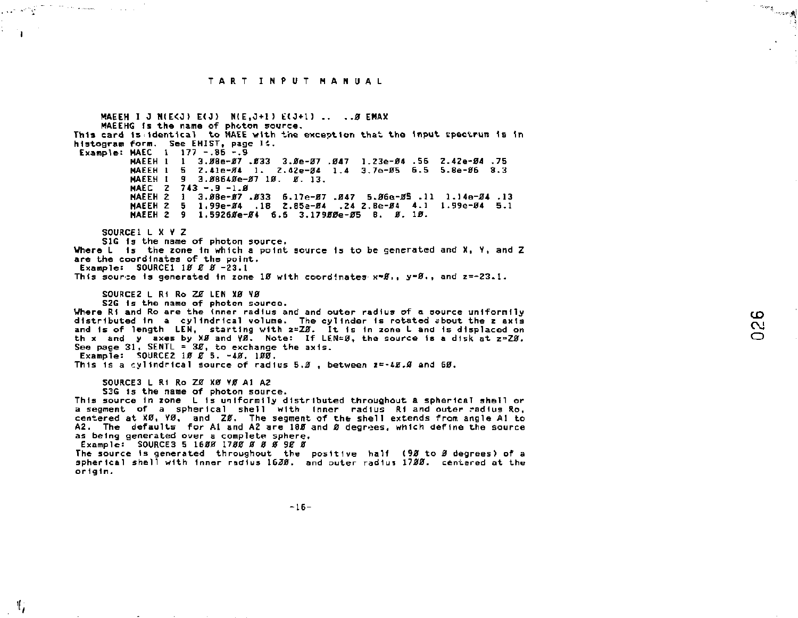more than a summer

المواصب وبالمرابي  $\mathbf{r}$ 

т,

MAEEH I J N(E<J) E(J) N(E.J+1) E(J+1) .. .. Ø EMAX MAEEHG is the name of photon source. This card is identical to MAEE with the exception that the input spectrum is in histogram form. See EHIST, page 14. Example: MAEC 1 177 -. 86 -. 9 MAEEH 1 1 3.08e-07 .033 3.0e-07 .047 1.23e-04 .56 2.42e-04 .75 MAEEH 1 5 2.41e-04 1. 2.42e-04 1.4 3.7e-05 6.5 5.8e-06 8.3 МАЕЕН І Я З. 08640e-07 10. 0. 13. MAEC  $2$  743 -.9 -1.8 MAEEH 2 1 3.08e-07.033 5.17e-07.047 5.06e-05.11 1.14e-04.13 MAEEH 2 5 1,99e-84 .18 2.85e-84 .24 2.8e-84 4.1 1.99e-84 5.1 NAEEH 2 9 1.59260e-04 6.5 3.17900e-05 8. 0.10. SOURCE! L X Y Z SIG is the name of photon source. Where L is the zone in which a point source is to be generated and X, Y, and Z are the coordinates of the point. Example: SOURCE1 18 8 8 -23.1 This source is generated in zone 18 with coordinates  $x=8$ ,  $y=8$ , and  $z=-23.1$ . SOURCEZ L Ri Ro ZE LEN XB YB S2G is the name of photon source. Where Ri and Ro are the inner radius and and outer radius of a source uniformily distributed in a cylindrical volume. The cylinder is rotated sbout the z axis and is of length LEN, starting with z=ZB. It is in zone Land is displaced on<br>the sand y axes by XB and VB. Note: If LEN=B, the source is a disk at z=ZB.<br>See page 31, SENTL = 3B, to exchange the axis. Example: SOURCE2 10 0 5. -40. 100. This is a cylindrical source of radius 5.0, between  $z = 48.0$  and 60. SOURCES L R1 Ro Z0 X0 Y0 A1 A2 S3G is the name of photon source. This source in zone L is uniformily distributed throughout a spherical shell or a segment of a spherical shell with inner radius Ri and outer radius Ro. centered at X0, Y0, and Z0. The segment of the shell extends from angle A1 to A2. The defaults for A1 and A2 are 180 and 0 degrees, which define the source as being generated over a complete sphere. Example: SOURCE3 5 1688 1788 8 8 8 98 8 The source is generated throughout the positive half (98 to 8 degrees) of a spherical shell with inner radius 1638, and outer radius 1788. centered at the origin.

 $-16-$ 

room)<br>Barangariya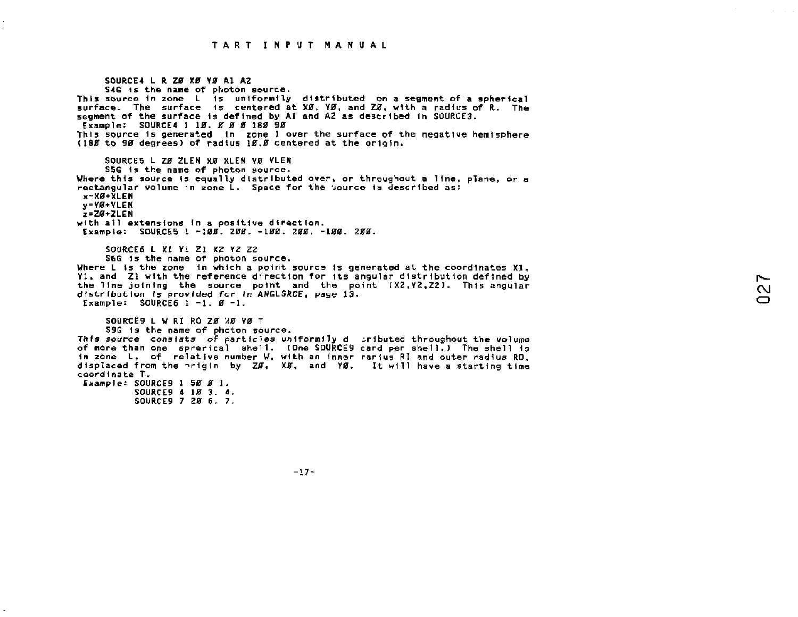SOURCE4 L R ZØ XØ YØ A1 A2 S4G 1s the name of photon source. This source in zone L is unlfornily distributed on a segment of a spherical surface.. The surface is centered at X0, Y0, and *TZ,* with a radius of R. The segment of the surface is defined by AI and A2 as described In SOURGE3. Example: S0URCE4 1 10. *Z* 0 0 180 90 This source 1s generated In zone 1 over the surface of the negative hemisphere (180 to 90 degrees) of radius 10.0 centered at the origin. SOURCES L ZØ ZLEN XØ XLEN VØ VLEN SSG Is the name of photon source. Where this source Is equally distributed over, or throughout a line, plane, or a rectangular volume in zone L. Space for the source is described as:  $x=XB+XLEN$ y=V0+YLEN  $2-20+2$ LEN with all extensions in a positive direction. Example'- S0URCE5 1 -100. *200. -100.* Z00. -100. 200. SOURCES L XI VI ZI XZ YZ ZZ SbG 1s the name of photon source. Where L is the zone in which a point source is generated at the coordinates X1.  $y_1$ , and  $y_2$  with the reference direction for its angular distribution defined by the line joining the source point and the point  $(X2,Y2,ZZ)$ . This angular distribution *Is* provided for *In* ANGLSftCE, page 13. Example:  $SOWRCE6$  1 -1.  $B -1$ . SOURCE9 L W RI RO ZØ XØ YØ T S9G 1s the name of photon source. This *source* consists *of* particles uoiformily d iributed throughout the volume of more than one sprerical shell. (One S0URCE9 card per shell.) The shell Is in zone L, of relative number W, with an inner rarius RI and outer radius RO, displaced from the -rigin by Z0, X0, and Y0. It will have a starting time coord Inate T. Example: SOURCE9 1 50 0 1. SOURCES 4 10 3. 4. SOURCES 7 20 6. 7.

 $-17-$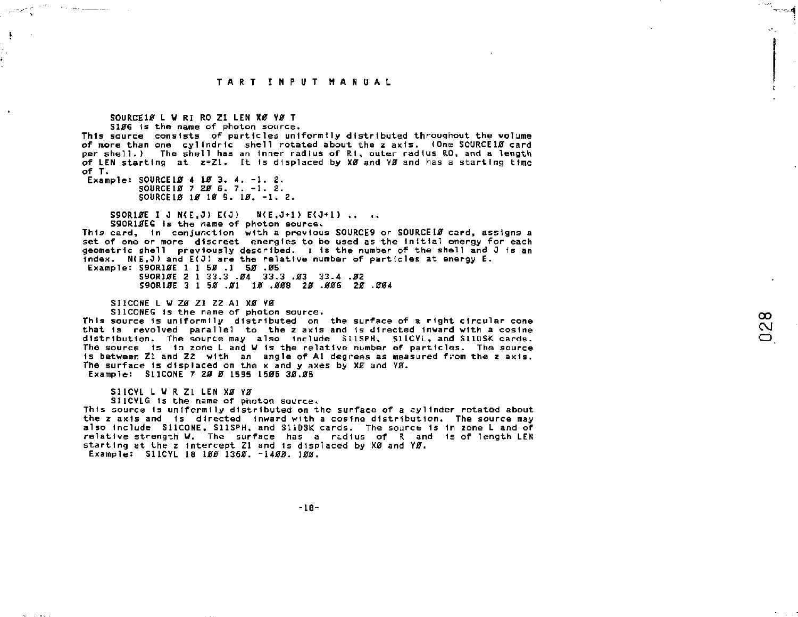## TART THPUT MANUAL

## SOURCE10 L W RI RO ZI LEN XØ YØ T

the community

 $\ddot{\phantom{1}}$ 

S106 is the name of photon source.

This source consists of particles uniformily distributed throughout the volume of nore than one cylindric shell rotated about the z axis. (One SOURCE10 card per shell.) The shell has an inner radius of Ri, outer radius RO, and a length of LEN starting at z=Z1. It is displaced by XØ and YØ and has a starting time  $of T.$ 

Example: SOURCE10 4 10 3, 4, -1, 2, SOURCE 10 7 20 6. 7. -1. 2. SOURCE18 18 18 9. 18. -1. 2.

> S9OR10E I J N(E.J) E(J) N(E.J+1) E(J+1) .. .. S90R1AEG is the name of photon source,

This card. In conjunction with a previous SOURCES or SOURCEIF card, assigns a set of one or more discreet energies to be used as the initial energy for each geometric shell previously described. I is the number of the shell and J is an index. N(E.J) and E(J) are the relative number of particles at energy E. Example: \$90R10E 1 1 50 .1 50 .05

S9OR10E 2 1 33.3 .04 33.3 .03 33.4 .02 S9OR10E 3 1 50 .01 10 .008 20 .006 20 .004

STICONE | M 78 71 72 A1 YR VR

SIICONEG is the name of photon source.

This source is uniformily distributed on the surface of a right circular cone that is revolved parallel to the z axis and is directed inward with a cosine distribution. The source may also include SilSPH, SILCYL, and SILDSK cards. The source is in zone L and V is the relative number of particles. The source is between 71 and 72 with an angle of A1 degrees as measured from the z axis. The surface is displaced on the x and y axes by XZ and YZ. Example: SI1CONE 7 28 8 1595 1585 38.85

 $\infty$ 

പ

SIICYL L W R ZI LEN XØ YØ

SilCYLG is the name of photon source.

This source is uniformily distributed on the surface of a cylinder rotated about the z axis and is directed inward with a cosing distribution. The source may also include SilCONE, SIISPH, and SiiDSK cards. The source is in zone L and of relative strength W. The surface has a radius of R and is of length LEN starting at the z intercept Z1 and is displaced by X0 and Y0. Example: S11CYL 18 100 1360 -1400. 100.

 $-18-$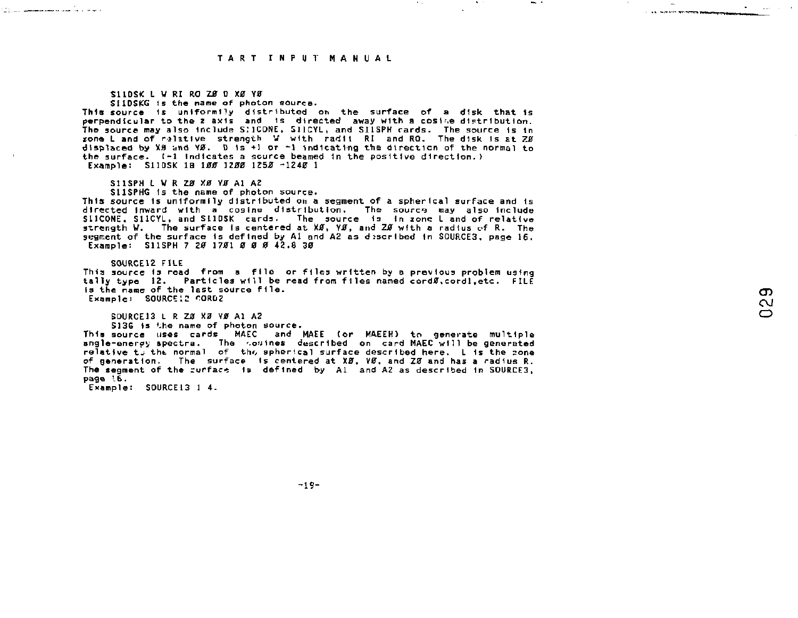### S11DSK L W RI RO ZA D YA YA

S11DSKG 1s the name of photon source.

This source is uniformlly distributed on the surface of a disk that is perpendicular to the z axis -and -is--directed -away with a cosise distribution.<br>The source may also include SNLCONE, SILCYL, and SILSPH cards. The source is in zone L and of relative strength *\t* with radii RI and RO. The disk Is at *7U8*  displaced by X8 and  $\sqrt{8}$ . D is +1 or  $-1$  indicating the direction of the normal to the surface. t-1 indicates a source beamed 1n the positive direction.) Example: S11DSK IS *100 1200 IZ5JB* -1240 1

S11SPH L W R ZØ XØ YØ A1 AZ

S11SPHG is the name of photon source.<br>This source is uniformily distributed on a seqment of a spherical surface and is This source is uniformily distributed on a segment of a spherical surface and is<br>sliCOME, SliCYL, and SliDSK cards. The source is in zone Land of relative<br>sirength W. The surface is centered at XØ, YØ, and ZØ with a ra segment of the surface is defined by Al and A2 as described in SOURCE3, page 16.<br>Example: S11SPH 7 2*0* 17*0*1 *0 0 0* 42.8 3*0* 

S0URCE12 FILE

والفرعا والأراسيا ستستسلط وإراريهم

This source is read from a file or files written by a previous problem using tally type 12. Particles will be read from files named cord0,cordl.etc. FILE is the name of the last source file. Example: SOURCE 12 CORD2

SOURCE13 L R ZØ XØ YØ A1 A2

S136 is the name of photon source.

This source uses cards MAEC and MAEE (or MAEEH) to generate multIple angle-enerey spectra. The *<sup>r</sup>ou*Ines described on card MAEC wl11 be generated relative t\_ the normal of the spherical surface described here. L is the zone of generation. The surface Is centered at *X0,* Y0, and Z0 and has a radius R. The segment of the curface is defined by Al and A2 as described in SOURCE3, page I6.

Example: SOURCE13 1 4.

 $-19-$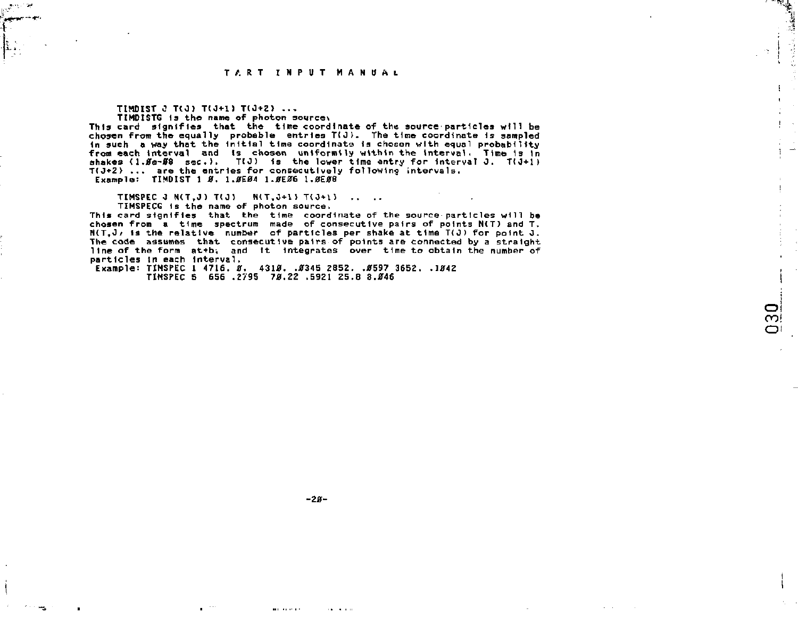**TIMDIST** *2* **TtJ) T(0\*1) T(J+Z> ... TIMDISTG** is the name of photon sourcey

**This card signifies that the tine coordinate of the source particles will be chosen front the equally probable entries T(OJ. The time coordinate Is sampled In such a way that the Initial time coordinate is chosen with equal probability**  from each interval and is chosen uniformily within the interval. Time is in<br>shakes (1.Øe-08 sec.), T(J) is the lower time entry for interval J. T(J+1) **T(J+2> ... are the entries for consecutively following intervals. Example; TIMDIST 1 0. 1.0E04 1.0E06 1.0E08** 

**TIMSPEC J N(T.J) T(J) N(T.J+l) T(J+l) .... TIMSPECG fs the name of photon source;** 

This card signifies that the time coordinate of the source-particles will be **chosen from a time spectrum made of consecutive pairs of points N(T) and T. HIT,J**, is the relative number of particles per shake at time T(J) for point J. **The code assumes that consecutive pairs of points are connected by a straight**  line of the form at+b; and it integrates over time to obtain the number of particles in each interval.

> $\sim$ ⇔

**particles in each interval. Example: TIMSPEC 1 4716. 0. 4310. .0345 ZS52. .0597 3652. .1042 TIMSPEC 5 656 ,2795 70.22 .5921 25.8 8.046** 

 $-20 -$ 

 $\alpha$  ,  $\alpha$  ,  $\alpha$ 

**Barbara** and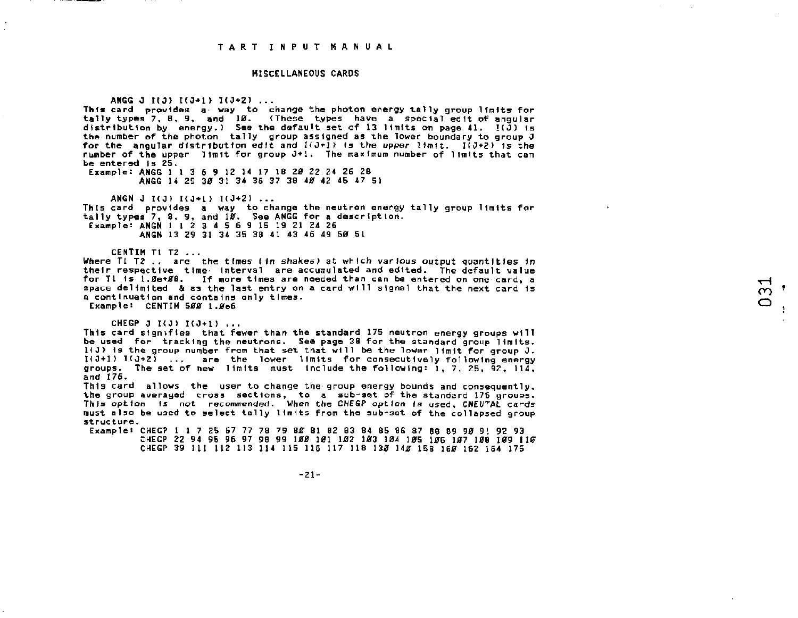#### MISCELLANEOUS CARDS

ANGG 0 *HO)* t(J+l> 1(0+2) ... This card provides a' way to change the photon energy tally group limits fop tally types 7, 8, 9, and 10. (These types have a special edit of angular distribution by energy.) See the default set of 13 limits on page 41.  $I(J)$  is the number of the photon tally group assigned as the lower boundary to group J for the angular distribution edit and *H0 + 1>* Is the upper limit. *l(0\*2> is* the number of the upper limit for group J+l. The maximum number of limits that can be entered is 25. Example: ANGG 1 1 3 6 9 12 14 17 18 20 22 24 26 28

ANGG 14 29 30 31 34 35 37 38 40 42 45 47 51

ANGN J I(J) I(J+1) I(J+2) ... This card provides a way to change the neutron energy tally group limits for tally types 7, 8, 9, and 10. See ANGG for a description. Example: ANGN 1 1 2 3 4 5 6 9 15 19 21 24 26 ANGN 13 29 31 34 35 38 41 43 46 49 50 SI

CENTIM Tl T2 ... Where  $T1$   $T2$  ... are the times (in shakes) at which various output quantities in their respective time- Interval are accumulated and edited. The default value for Tl is 1.0e+08. If more times are needed than can be entered on one card, a<br>space delimited & as the last entry on a card will signal that the next card is space delimited  $\&$  as the last entry on a card will signal that the next card is a continuation and contains only times. Example: CENTIM 500 1.0e6 t Jacques de la companyation de la companyation de la companyation de la companyation de la companyation de la

CHEGP 0 1(0) 1(0+1) ...

This card signifies that fewer than the standard 175 neutron energy groups will be used for tracking the neutrons. See page 38 for the standard group limits.  $1(3)$  is the group number from that set that will be the lower limit for group J. 1(0+1) KO+2 ) ... are the lower limits for consecutively following energy groups. The set of new limits must Include the following: i, 7, 25, 92, 114, and 176.

This card allows the user to change the group energy bounds and consequently, the group averaged cross sections, to a sub-set of the standard 175 groups. This option Is not recommended. When the CHEGP option Is used, CNEUTAL cards must also be used to select tally limits from the sub-set of the collapsed group structure.

Example: CHEGP 1 1 7 25 57 77 78 79 80 81 62 83 84 85 86 87 88 89 90 91 92 93 CHEGP 22 94 95 96 97 98 99 100 101 102 103 104 105 106 107 108 109 110 CHEGP 39 111 112 113 114 115 116 117 118 130 140 158 160 162 164 176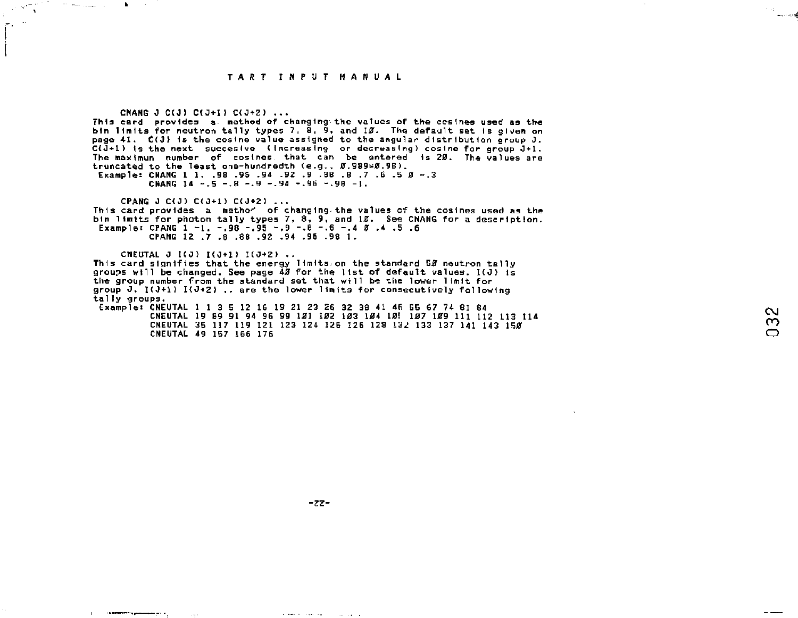المستبين

 $\scriptstyle\mathtt{c}$ ო

CNANG J C(J) C(J+I) C(J+2) ... This card provides a method of changing the values of the cosines used as the

 $\sigma^2$  and  $\sigma^2$  and  $\sigma^2$ 

 $\mathbf{r}$ 

**The Communist Communist Communist Communist Communist Communist Communist Communist Communist Communist Communist Communist Communist Communist Communist Communist Communist Communist Communist Communist Communist Communi** 

bin limits for neutron tally types 7, 8, 9, and *IS.* The default set Is given on page  $41.$   $C(3)$  is the cosine value assigned to the angular distribution group J. C(J+1) is the next succesive (increasing or decreasing) cosine for group J+1. The maximun number of cosines that can be antered is 20. The values are truncated to the least one-hundredth (e.g., *S3.939-2.*9B ). Example: CNANG 1 1. .58 -96 .94 -92 .9 .38 .B .7 .6 .5 0 -.3

CNANG 14  $-.5 - .8 - .9 - .94 - .96 - .98 - 1$ .

CPANG 0 C(J) C(J+1) C(J\*2) ... This card provides a metho^ of changing, the values of the cosines used as the bin limits for photon tally types *7,* 8, 9, and *IB.* See CNANG for a description. Example: CPANG 1 -1 . -.98 -.95 -.9 -.8 -.6 -.4 *%* .4 .5 .6 CPANG 12 .7 .8 .88 .92 .94 .96 .98 1.

CNEUTAL J I(J) I(J+1) I(J+2) .. This card signifies that the energy llmltsion the standard 50 neutron tally groups will be changed. See page 40 for the list of default values. I(J) is the group number from the standard set that will be the lower limit for group  $0$ .  $I(3+1)$   $I(3+2)$ .. are the lower limits for consecutively following tally groups. Example: CNEUTAL 1 1 3 5 12 16 19 21 23 26 32 38 41 46 SB 67 74 81 84

CNEUTAL 19 89 91 94 96 99 101 102 103 104 10! 107 109 111 112 113 114 CNEUTAL 35 117 119 121 123 124 126 126 128 132 133 137 141 143 150 CMEUTAL 49 157 166 176

الهدامين والتبياء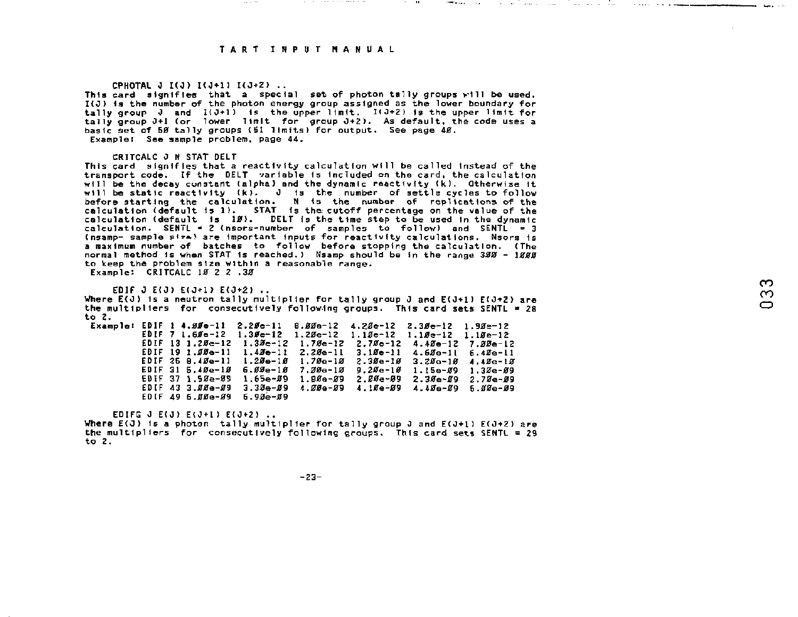### CPHOTAL J I(J) I(J+1) I(J+2) ...

This card signifies that a special set of photon tally groups will be used. I(J> Is the number of the photon energy group assigned as the lower boundary for tally group  $J$  and  $I(\partial * 1)$  is the upper limit.  $I(\partial * 2)$  is the upper limit for tally group 0+1 (or lower limit for group 0+2}- As default, the code uses a basic set af 50 tally groups (51 limits) for output. See page 40. Example! See sample problem, page 44.

#### CRITCALC *J* N STAT DELT

This card signifies that a reactivity calculation will be called Instead of the transport code. If the DELT variable Is Included on the card, the calculation will be the decay constant (alpha) and the dynamic reactivity (k). Otherwise it will be static reactivity (k). J is the number of settle cycles to follow before starting the calculation. N *is* the number of replications of the calculation (default is 1) . STAT Is the. cutoff percentage on the value of the calculation (default Is *IB).* DELT *is* the time step to be used In the dynamic calculation. SENTL \* *Z* (nsors-nuntber of samples to follow) and SENTL = 3 <nsamp- sample pi'»! are important inputs for reactivity calculations. Nsors 1s a maximum number of batches to follow before stopping the calculation. (The normal method is when STAT is reached.) Nsamp should be in the range 300 - 1000 to keep the problem size within a reasonable range. Example: CRITCALC 18 2 2 .38

EDIF J E(J) E(J+1) E(J+2) ..

Where  $E(3)$  is a neutron tally multiplier for tally group J and  $E(3+1)$   $E(3+2)$  are the multipliers for consecutively following groups. This card sets SENTL • 28 to Z.

Example: EDIF 1 4.00-11 2.20e-11 8.00e-12 4.20e-12 2.30e-12 1.90e-12  $EDIF$  7 1.6 $$0e-12$  1.3 $$e-12$  1.2 $$e-12$  1.1 $$e-12$  1.1 $$e-12$  1.1 $$e-12$  1.1 $$e-12$ EDIF 13 1.20c-12 1.30c-12 1.70c-12 2.70c-12 4.40c-12 7.00c-12 EDIF 19 1.00e-11 1.40e-11 2.20e-11 3.10e-11 4.60e-11 6.40e-11 EDIF 25 8.40e-11 1.206-10 1.70s-10 2.30e-10 3.20e-10 4.40G-10 EDIF 31 5.40e-10 6.00e-10 7.00e-10 9.20e-10 1.15e-09 1.30e-09<br>EDIF 37 1.50e-09 1.65e-09 1.80e-09 2.00e-09 2.30e-09 2.70e-09 EDIF 37 l.S0e-09 1.65e-09 1.808-09 2.00e-09 2.306-09 2.70e-09 EDIF 43 3.009-09 3.30es-09 4.00s-09 4.10e-09 4.406-09 5.006-09 EDIF 49 6.00e-09 6.90e-09

EDIFG  $J$  E( $J$ ) F( $J$ +1) E( $J$ +2)  $\ldots$ 

Where  $E(J)$  is a photon tally multiplier for tally group J and  $E(J+1)$   $E(J+2)$  are the multipliers for consecutively following groups. This card sets SENTL = 29 المؤالف لتفاعدوا

 $-23-$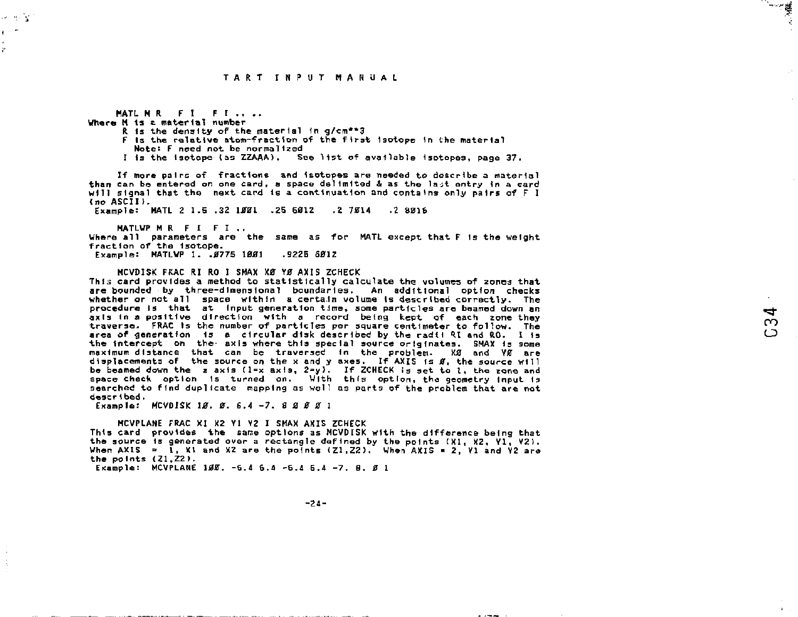الاست

MATL M R F T F T .... Where M Is £ material number R fs the density of the material tn g/cm\*\*3 F is the relative atom-fraction of the first Isotope 1n the material Note: F need not be normalized

I is the Isotope (as ZZAAA). See list of available Isotopes, page 37.

If more pairs of fractions and Isotopes are needed to describe a material than can be entered on one card, a space delimited & as the la-;t entry in a card will signal that the next card is a continuation and contains only pairs of F I (no ASCII).

Example: MATL 2 1-5 .32 *11321* .25 601Z ,2 7014 .2 8016

MATLWP M R F I F I .. Where all parameters are the same as for MATL except that F 1s the weight fraction of the Isotope. Example: MATLWP 1. .0775 1001 .9225 6012

MCVDISK FRAC RI RO I SMAX XØ YØ AXIS ZCHECK This card provides a method to statistically calculate the volumes of zones that are bounded by three-dimensional boundaries. An additional option checks whether or not all space within a certain volume is described correctly. The procedure Is that at input generation time, some particles are beamed down an axis in a positive direction with a record being kept of each zone they  $\infty$   $\infty$ traverse. FRAC Is the number of particles per square centimeter to follow. The ^ <sup>J</sup> area of generation is a circular disk described by the radii RI and RO. I is the intercept on the- axis where this special source originates. SMAX Is some maximum distance that can be traversed in the problem. Kg and Vg are displacements of the source on the x and y axes. If AXIS is *0,* the source will be beamed down the z  $a \times i$ s ( $1 = x$   $a \times i$ s,  $2 = y$ ). If ZCHECK is set to 1, the zone and space cheek option 1s turned on. With this option, the geometry Input Is searched to find duplicate mapping as well as parts of the problem that are not described.

Example: MCVDISK *10, 0.* 6.4 -7 . 3 0 0 0 ]

나 먹음 ķ.

> MCVPLANE FRAC XI X2 Yl Y2 I SMAX AXIS ZCHECK This card provides the same options as MCVDISK with the difference being that the source is generated over a rectangle defined by the points (X1, X2, V1, V2). When  $AXIS = 1$ . X1 and X2 are the points  $(Z1, Z2)$ , When  $AXIS = 2$ , Y1 and Y2 are the points  $(21, 22)$ .

Example: MCVPLANE *188.* -6.4 6.4 -6.4 6.4 -7 . 8. *0* 1

-24-

 $\sim$  100  $-$  100  $-$  100  $-$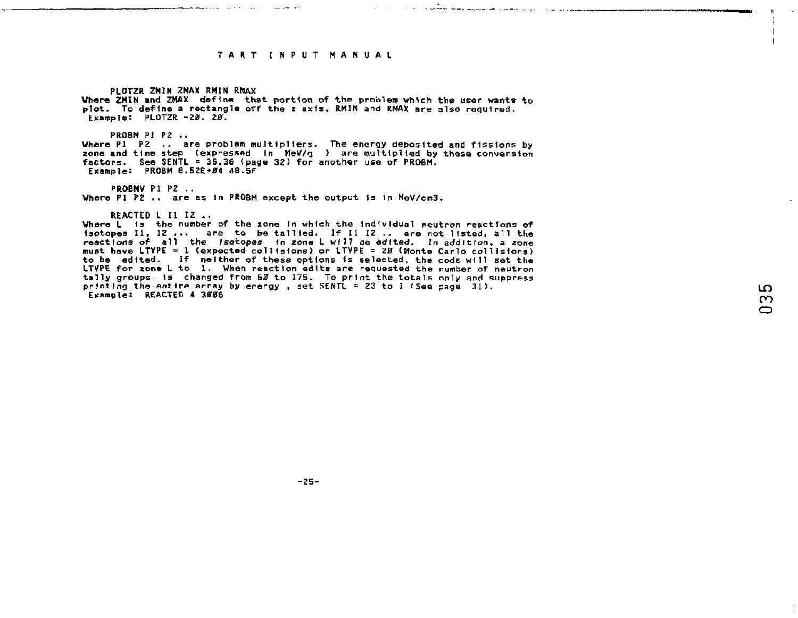and the contract of the company of the company of the contract of the contract of the company of the company of

**PLOTZR ZMIN ZMAX RMIN RMAX Where ZMIN and ZMAX define that portion of the problem vhlcb the user wants to plot. To define a rectangle off the z axis, RMIN and RMAX are also required. Example: PLOTZR -20. 28.** 

**PROBM PI P2 .. Where PI P2 .. are problem multipliers. The energy deposited and fissions by zone and time step (expressed In MeV/g ) are multiplied by these conversion factors. See SENTL = 35,36 (page 32) for another use of PROBM.**  Example: **PROBM 8.52E+04 48.5**F

**PROBMV PI PZ .. Where PI P2 .. are as in PROBM except the output Is In MeV/cm3.** 

**REACTED L II 12 .,** 

**Where L Is the number of the zone In which the Individual neutron reactions of Isotopes II, 12 ... are to be tallied. If II 12 .. are not listed, all the reactions of all the Isotopes In zone L will be edited. In addition, a zone must have LTVPE = 1 (expected collisions) or LTVPE =** *23* **(Monte Carlo collisions) to be edited. If neither of these options is selected, the code will set the LTVPE for 2one L to 1. When reaction edits are requested the number of neutron tally groups- is changed from 5U to 175. To print the totals only and suppress printing the entire array by erergy , set SENTL = 23 to 2** *<***See page 31). Example: REACTED 4 3ff06** 

 $\mathbf{I}$ 

 $-25-$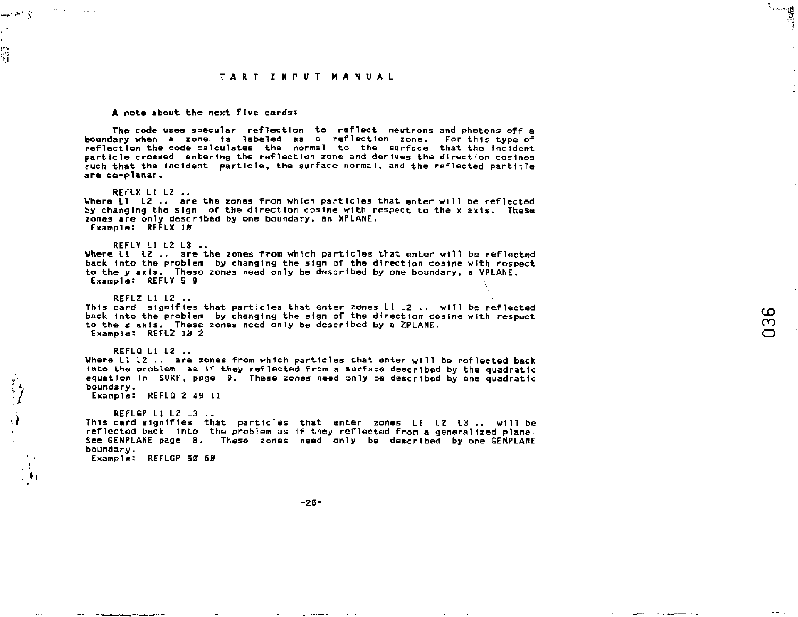ે પ્ર

ശ  $\bar{c}$  $\Box$ 

**A note about the next five cards;** 

**The code usee specular reflection to reflect neutrons and photons off a boundary when a zone. Is labeled as a reflection zone. For this type of reflection the code calculates the normal to the surface that the Incident particle crossed entering the reflection zone and derives the direction cosines ruch that the incident particle, the surface normal, and the reflected partible are co-planar.** 

**REFLX LI L2 ..** 

بالإستعراض

ţ

**Where LI L2 .. are the zones from which particles that enter will be reflected by changing the sign of the direction cosine with respect to the x axis. These zones are only described by one boundary, an XPLANE. Example: REFLX 10** 

**REFLY LI L2 L3 ..** 

**Where LI L2 .. are the zones from whtch particles that enter will be reflected back Into the problem by changing the sign of the direction cosine with respect to the y axis. These zones need only be described by one boundary, a VPLANE. Example: REFLY 5 9** 

**REFLZ LI LZ .. This card signifies that particles that enter zones LI L2 .. will be reflected back Into the problem by changing the sign of the direction cosine with respect to the z axis. These zones need only be described by a 2PLANE. Example: REFL2 12 2** 

**REFLQ LI L2 .. Where LI L2 .. are xones from which particles that enter wtll be reflected back into the problem as if they reflected from a surface described by the quadratic equation In SURF, page** *9.* **These zones need only be described by one quadratic boundary.** 

**Example: REFLQ 2 49 11** 

**REFLGP LI L2 L3 This card signifies that particles that enter zones LI L2 L3 .. will be reflected back into the problem as 1f they reflected from a generalized plane. See GENPLANE page 8- These zones need only be described by one GENPLANE boundary. Example; REFLGP 50** *60* 

 $-26-$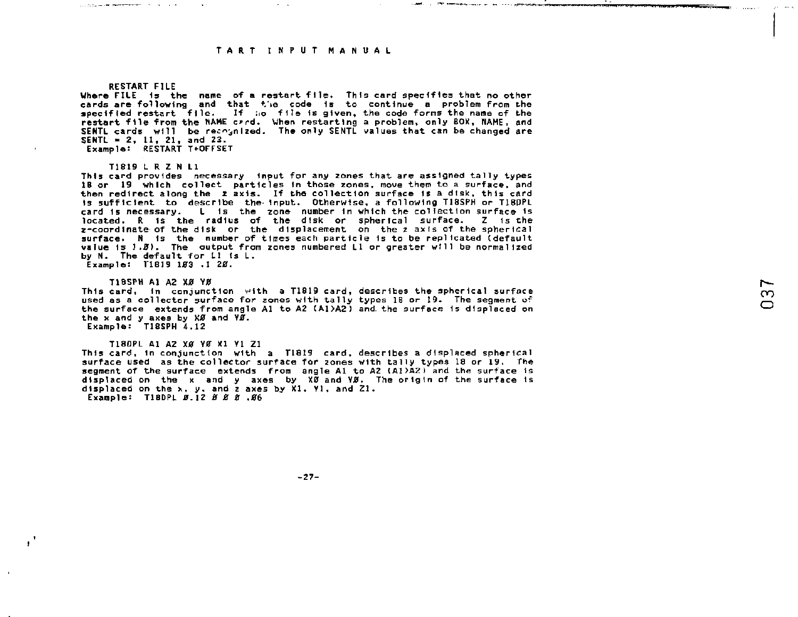**Contract Minimum and Service Contract Contract Contract Contract Contract Contract Contract Contract Contract Contract Contract Contract Contract Contract Contract Contract Contract Contract Contract Contract Contract Con** 

#### **RESTART FILE**

the component of the component of the component of the component of the component of the component of the component of the component of the component of the component of the component of the component of the component of t

 $\sim$ 

**Where FILE 1s the name of a. restart file. This card specifies that no other**  cards are following and that the code is to continue a problem from the<br>specified restart file. If no file is given, the code forms the name of the<br>restart file from the MAME crrd. When restarting a problem, only BOX, MAM **SENTL cards will be rec^ n I zed. The only SENTL values that can be changed are SENTL - 2, LI, 21, and 22. Examplet RESTART T+OFFSET** 

#### **T1819 L R Z N LI**

**This card provides necessary Input for any zones that are assigned tally types IB or 19 which collect particles In those zones, move them to a surface, and then redirect along the z axis. If the collection surface Is a dtsk, this card is sufficient to describe the- Input. Otherwise, a following T18SPH or T1B0PL card Is necessary. L Is the zone number In which the collection surface Is located. R Is the radius of the disk or spherical surface. Z is the i-coordlnate' of the disk or the displacement on the z axis of the spherical surface. N Is the number of times each particle Is to be replicated tdefault value Is** *1.8).* **The output from zones numbered LI or greater will be normalized by N. The default for LI (s L. Example: T1819 103 .1 20.** 

**T1BSPH Al A2 X0 Y0 This card, In conjunction with a T1819 card, describes the spherical surface used as a collector surface for zones with tally types IB or 19. The segment of the surface extends from angle Al to A2 CA1>A2) and. the surface 1s displaced on**  the x and y axes by XØ and VØ. **Example: T18SPH 4.12** 

**T18DPL A1 A2 XØ YØ X1 Y1 Z1 This card, In conjunction with a T1819 card, describes a displaced spherical surface used as the collector surface for zones with tally types 18 or 19. The segment of the surface extends from angle Al to A2 (A1>A2) and the surface Is displaced on the x and y axes by X0 and Y0. The origin of the surface Is displaced on the x, y. and z axes by XI. Yl, and Zl. Example: T18DPL** *B.* **12** *0 JS* **0 .#6** 

**-27-**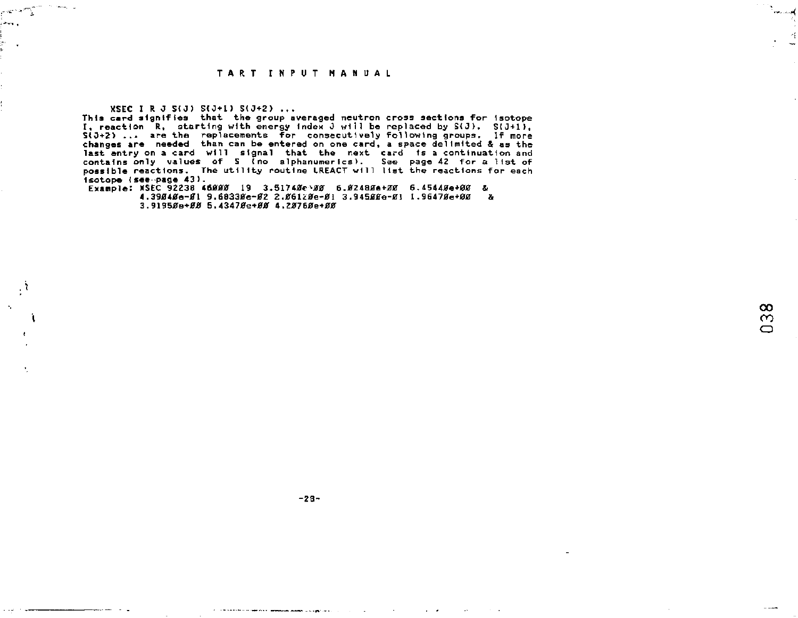**XSEC I R** *0 SiO)* **S(0+l) S(J+2> ...** 

المستجد الهدم

ìю. Ċ

> **This card signifies that the group averaged neutron cross sections for Isotope I, reaction R, starting with energy index J will be replaced by S(J), S(J+1), S<0+Z> ... are the replacements for consecutively following groups. If more changes are needed than can be entered on one card, a space delimited & as the**  last entry on a card will signal that the next card is a continuation and<br>contains only values of S (no slphanumerics). See page 42 for a list of<br>possible reactions. The utility routine LREACT will list the reactions for e **Isotope {see page 43) .**

**Example: XSEC 92238 46000 19 3.51740c^0 6.02480#+00 6.45440e+00 & 4.39040e-01 9.68330e-02** *2.06lZ8e-0l* **3.94500e-01 1.96470e+00 & 3.91950B+00 5.43470e+00 4.207B0e+00** 

ووسد للعود

 $-28-$ 

**Service Services Anno 2000** 

 $\sim$ 

 $\mathcal{L}^{\mathcal{L}}$  $\sim 10^{-1}$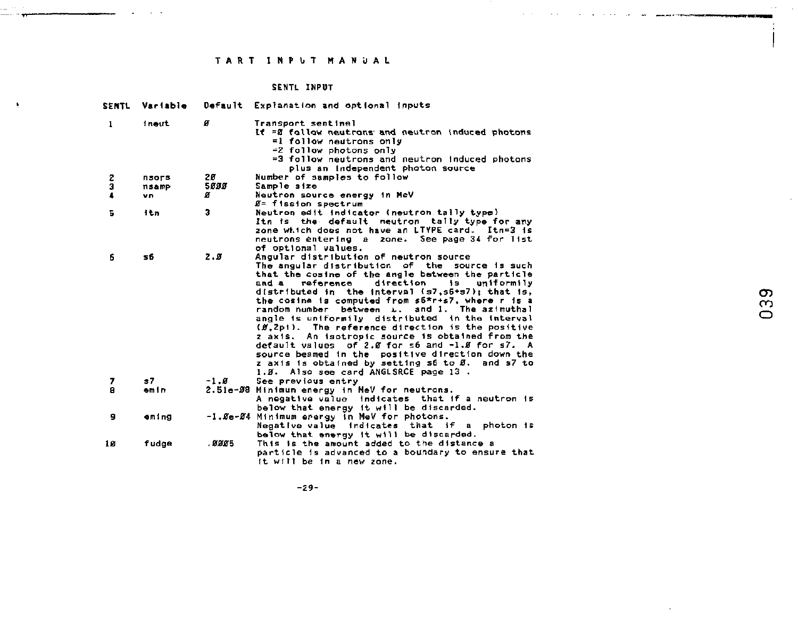## SENTL INPUT

 $\bullet$ 

| <b>SENTL</b> | Variable |        | Default Explanation and optional inputs.                                                                                                                                                                                                                                                                                                                                                                                                                                                                                                                                                                                                                                                                                                          |
|--------------|----------|--------|---------------------------------------------------------------------------------------------------------------------------------------------------------------------------------------------------------------------------------------------------------------------------------------------------------------------------------------------------------------------------------------------------------------------------------------------------------------------------------------------------------------------------------------------------------------------------------------------------------------------------------------------------------------------------------------------------------------------------------------------------|
| 1            | ineut    | ø      | Transport sentinel<br>If =2 follow neutrons and neutron induced photons<br>=1 follow neutrons only<br>=2 follow photons only<br>=3 follow neutrons and neutron induced photons<br>plus an independent photon source                                                                                                                                                                                                                                                                                                                                                                                                                                                                                                                               |
|              | nsors    | 20     | Number of samples to follow                                                                                                                                                                                                                                                                                                                                                                                                                                                                                                                                                                                                                                                                                                                       |
| š            | nsamp    | 5888   | Sample size                                                                                                                                                                                                                                                                                                                                                                                                                                                                                                                                                                                                                                                                                                                                       |
| 4            | vn.      | ø      | Neutron source energy in MeV                                                                                                                                                                                                                                                                                                                                                                                                                                                                                                                                                                                                                                                                                                                      |
|              |          |        | Ø≃ fission spectrum                                                                                                                                                                                                                                                                                                                                                                                                                                                                                                                                                                                                                                                                                                                               |
| Б            | itn      | з      | Neutron edit indicator (neutron tally type)<br>Itn is the default neutron taily type for any<br>zone which does not have an LTYPE card. Itn=3 is<br>neutrons entering a zone. See page 34 for list<br>of optional values.                                                                                                                                                                                                                                                                                                                                                                                                                                                                                                                         |
| 6            | sß       | 2.8    | Angular distribution of neutron source<br>The angular distribution of the<br>source is such<br>that the cosine of the angle between the particle<br>direction is uniformily<br>and a<br>reference<br>distributed in the interval (s7,s6+s7): that is,<br>the cosine is computed from s6*r+s7, where r is a<br>random number<br>between L.<br>and 1. The azimuthal<br>angle is uniformily distributed in the interval<br>(Ø.2p1). The reference direction is the positive<br>z axis. An isotropic source is obtained from the<br>default values of 2.0 for $\leq 6$ and $-1.8$ for $\leq 7$ . A<br>source beamed in the positive direction down the<br>z axis is obtained by setting s6 to Ø.<br>and s7 to<br>1.2. Also see card ANGLSRCE page 13. |
| 7            | s7       | $-1.8$ | See previous entry                                                                                                                                                                                                                                                                                                                                                                                                                                                                                                                                                                                                                                                                                                                                |
| а            | emin     |        | 2.51e-08 Minimum energy in MeV for neutrons.<br>A negative value indicates that if a neutron is<br>below that energy it will be discarded.                                                                                                                                                                                                                                                                                                                                                                                                                                                                                                                                                                                                        |
| 9            | eming    |        | -1.0e-04 Minimum erergy in MeV for photons.<br>Negative value indicates that if a photon is<br>below that energy it will be discarded.                                                                                                                                                                                                                                                                                                                                                                                                                                                                                                                                                                                                            |
| 10           | fudge    | .8005  | This is the amount added to the distance a<br>particle is advanced to a boundary to ensure that<br>it will be in a new zone.                                                                                                                                                                                                                                                                                                                                                                                                                                                                                                                                                                                                                      |

039

 $-29-$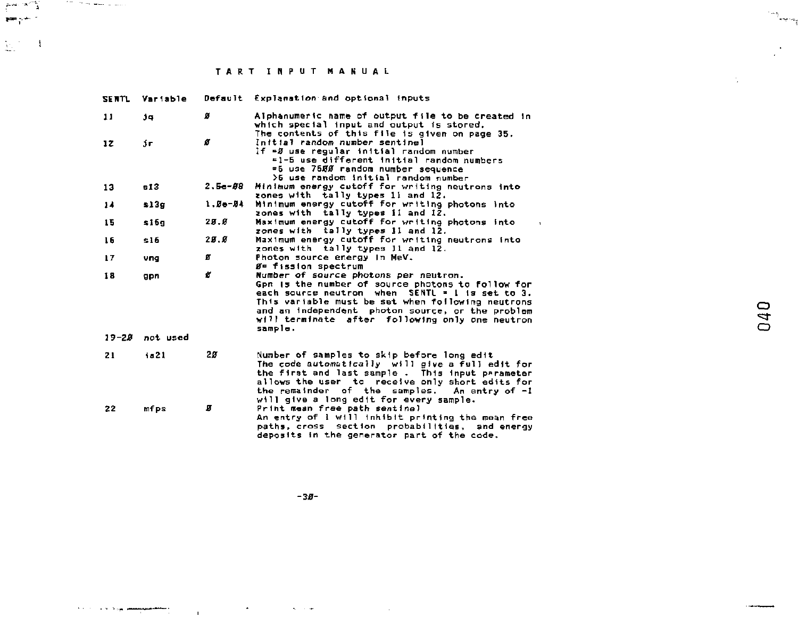perkili (1996-1999)<br>Perkili

 $\sum_{i=1}^n \mathcal{I}_i = \mathbf{1}$ 

| <b>SENTL</b> | Variable       |            | Default Explanation and optional inputs                                                                                                                                                                                                                                                                              |
|--------------|----------------|------------|----------------------------------------------------------------------------------------------------------------------------------------------------------------------------------------------------------------------------------------------------------------------------------------------------------------------|
| 11           | J.             | ø          | Alphanumeric name of output file to be created in<br>which special input and output is stored.<br>The contents of this file is given on page 35.                                                                                                                                                                     |
| 12           | jг             | ø          | Initial random number sentinel<br>If =5 use regular initial random number<br>=1-5 use different initial random numbers<br>=5 use 7500 random number sequence<br>>5 use random initial random number                                                                                                                  |
| 13           | -13            | $2.5 - 88$ | Minimum energy cutoff for writing neutrons into<br>zones with tally types 11 and 12.                                                                                                                                                                                                                                 |
| 14           | 2130           | $1.0 - 04$ | Minimum energy cutoff for writing photons into<br>zones with tally types ii and 12.                                                                                                                                                                                                                                  |
| 15           | \$16g          | 28.8       | Maximum energy cutoff for writing photons into<br>$\ddot{\phantom{1}}$<br>zones with tally types li and 12.                                                                                                                                                                                                          |
| 16           | \$16           | 25.6       | Maximum energy cutoff for writing neutrons into<br>zones with tally types 11 and 12.                                                                                                                                                                                                                                 |
| 17           | vna            | ø          | Photon source energy in MeV.<br><b>B= fission spectrum</b>                                                                                                                                                                                                                                                           |
| 18           | gpn            | ø          | Number of source photons per neutron.<br>Gpn is the number of source photons to follow for<br>each source neutron when SENTL = 1 is set to 3.<br>This variable must be set when following neutrons<br>and an independent photon source, or the problem<br>will terminate after following only one neutron<br>sample. |
|              | 19-28 not used |            |                                                                                                                                                                                                                                                                                                                      |
| 21           | 1.21           | 20         | Number of samples to skip before long edit<br>The code automatically will give a full edit for<br>the first and last sample. This input parameter<br>allows the user to receive only short edits for<br>the remainder of the samples. An entry of -1<br>will give a long edit for every sample.                      |
| 22           | mfps           | П          | Print mean free path sentinel<br>An entry of I will inhibit printing the mean free<br>paths, cross section probabilities, and energy<br>deposits in the generator part of the code.                                                                                                                                  |

 $-36-$ 

المرادي المستعمل والمستعمل والمستعمل والمستعمل والمستعمل

 $\left\langle \cdots \right\rangle_{\rm{supp} \; m_{\rm{B}}^{\rm{op}}}$ 

 $\mathcal{L}^{(1)}$  .

 $\sim$   $\sim$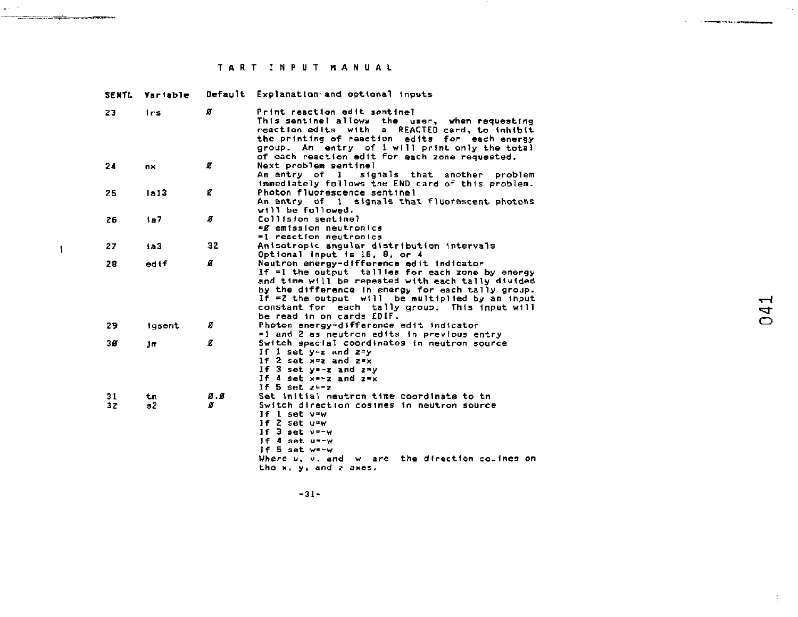$\mu \rightarrow \nu$ 

the contract of the contract of the contract of the contract of the contract of the contract of the contract of

 $\overline{1}$ 

o m

|          | SENTL Variable |          | Default Explanation and optional inputs                                                                                                                                                                                                                                                                                                                                                                                 |
|----------|----------------|----------|-------------------------------------------------------------------------------------------------------------------------------------------------------------------------------------------------------------------------------------------------------------------------------------------------------------------------------------------------------------------------------------------------------------------------|
| 23       | frs.           | ø        | Print reaction edit sentinel<br>This sentinel allows the user, when requesting<br>reaction edits with a REACTED card, to inhibit<br>the printing of reaction edits for each energy<br>group. An entry of 1 will print only the total<br>of each reaction edit for each zone requested.                                                                                                                                  |
| 24       | <b>nx</b>      | ø        | Next problem sentinel<br>An entry of l<br>signals that another problem<br>immediately follows the END card of this problem.                                                                                                                                                                                                                                                                                             |
| 25       | 1a13           | ø        | Photon fluorescence sentinel<br>An entry of 1 signals that fluorescent photons<br>will be followed.                                                                                                                                                                                                                                                                                                                     |
| 25       | 1a7            | ø        | Collision sentinel<br>=∬ emission neutronics<br>=1 reaction neutronics                                                                                                                                                                                                                                                                                                                                                  |
| 27       | 183            | 32       | Anisotropic angular distribution intervals<br>Optional input is 16, 8, or 4                                                                                                                                                                                                                                                                                                                                             |
| 28       | edif           | ø        | Neutron energy-difference edit indicator<br>If =1 the output tallies for each zone by energy<br>and time will be repeated with each tally divided<br>by the difference in energy for each tally group.<br>If $=2$ the output $w(1)$ be multiplied by an input<br>$\mathbf{\mathbf{\mathbf{\mathbf{\mathbf{\mathbf{\mathbf{H}}}}}}}$<br>constant for each tally group. This input will<br>4<br>be read in on cards EDIF. |
| 29       | lesent         | ø        | C<br>Photon energy-difference edit indicator<br>#1 and 2 as neutron edits in previous entry                                                                                                                                                                                                                                                                                                                             |
| 38       | dm.            | ø        | Switch spacial coordinates in neutron source<br>If 1 set y=z and z=y<br>If 2 set x=z and z=x<br>If 3 set y -- z and z -v<br>If 4 set x -- z and z = x<br>If 5 set $z-z$                                                                                                                                                                                                                                                 |
| 31<br>32 | tπ<br>32       | Ø.S<br>ø | Set initial neutron time coordinate to the<br>Switch direction cosines in neutron source<br>If $1$ set $v = w$<br>If 2 set u=w<br>If 3 set v=-w<br>If 4 set u -- w<br>If 5 set w=-w<br>Where u, v, and w are the direction collnes on<br>the x, y, and z axes.                                                                                                                                                          |

 $-31-$ 

 $\bar{t}$ 

 $\label{eq:1} \begin{minipage}{0.9\linewidth} \begin{minipage}{0.9\linewidth} \begin{minipage}{0.9\linewidth} \begin{minipage}{0.9\linewidth} \end{minipage} \begin{minipage}{0.9\linewidth} \begin{minipage}{0.9\linewidth} \end{minipage} \end{minipage} \begin{minipage}{0.9\linewidth} \begin{minipage}{0.9\linewidth} \begin{minipage}{0.9\linewidth} \end{minipage} \end{minipage} \begin{minipage}{0.9\linewidth} \begin{minipage}{0.9\linewidth} \end{minipage} \end{minipage} \begin{minipage}{0.9\linewidth} \begin{minipage}{0$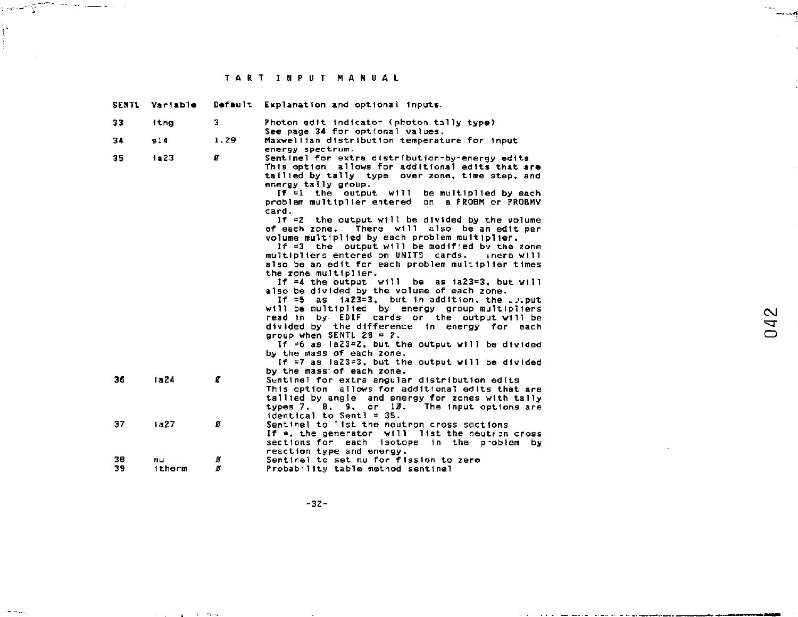profile the company of the property of the company of the company of the company of the company of the company of the company of the company of the company of the company of the company of the company of the company of the

 $\sum_{i=1}^{n}$ 

 $\omega_{\rm{max}}$ 

and the company

 $\sim 1000$  and  $\sim 100$ 

| SENTL | Variable    |      | Default Explanation and optional inputs.                                     |        |
|-------|-------------|------|------------------------------------------------------------------------------|--------|
| 33    | <b>itng</b> | э    | Photon edit indicator (photon tally type)                                    |        |
|       |             |      | See page 34 for optional values.                                             |        |
| 34    | s14         | 1.29 | Maxwellian distribution temperature for input<br>energy spectrum.            |        |
| 35    | 1223        | а    | Sentinel for extra distribution-by-energy edits                              |        |
|       |             |      | This option allows for additional edits that are                             |        |
|       |             |      | tallied by tally type over zone, time step, and                              |        |
|       |             |      | energy tally group.                                                          |        |
|       |             |      | If $=1$ the output will be multiplied by each                                |        |
|       |             |      | problem multiplier entered on a FROBM or PROBMV                              |        |
|       |             |      | card.                                                                        |        |
|       |             |      | If $=2$ the output will be divided by the volume                             |        |
|       |             |      | of each zone. There will also be an edit per                                 |        |
|       |             |      | volume multiplied by each problem multiplier.                                |        |
|       |             |      | If =3 the output will be modified by the zone                                |        |
|       |             |      | multipliers entered on UNITS cards.<br>inere will                            |        |
|       |             |      | also be an edit for each problem multiplier times                            |        |
|       |             |      | the zone multiplier.                                                         |        |
|       |             |      | If $=4$ the output will be as $1a23=3$ , but will                            |        |
|       |             |      | also be divided by the volume of each zone.                                  |        |
|       |             |      | If =5 as ia23=3, but in addition, the put                                    |        |
|       |             |      | will be multiplied by energy group multipliers                               | $\sim$ |
|       |             |      | read in by EDIF cards or the output will be                                  | ⇆      |
|       |             |      | divided by the difference in energy for each                                 | ◠      |
|       |             |      | group when SENTL $28 = 7$ .                                                  |        |
|       |             |      | If =6 as la23=Z, but the output will be divided                              |        |
|       |             |      | by the mass of each zone.                                                    |        |
|       |             |      | If =7 as ia23=3, but the output will be divided<br>by the mass of each zone. |        |
| 36    | 1824        | Ø    | Sentinel for extra angular distribution edits                                |        |
|       |             |      | This option allows for additional edits that are                             |        |
|       |             |      | tallied by angle and energy for zones with tally                             |        |
|       |             |      | types 7, 8, 9, or 13. The input options are                                  |        |
|       |             |      | $identical$ to Sentl = 35.                                                   |        |
| 37    | 1a27        | ø    | Sentinel to list the neutron cross sections                                  |        |
|       |             |      | If $=$ , the generator $with$ list the neutron cross                         |        |
|       |             |      | sections for each isotope in the problem by                                  |        |
|       |             |      | reaction type and energy.                                                    |        |
| 38    | nu          | ø    | Sentinel to set nu for fission to zero                                       |        |
| 39    | itherm      | Ø    | Probability table method sentinel                                            |        |

سد

÷.

J

 $-32-$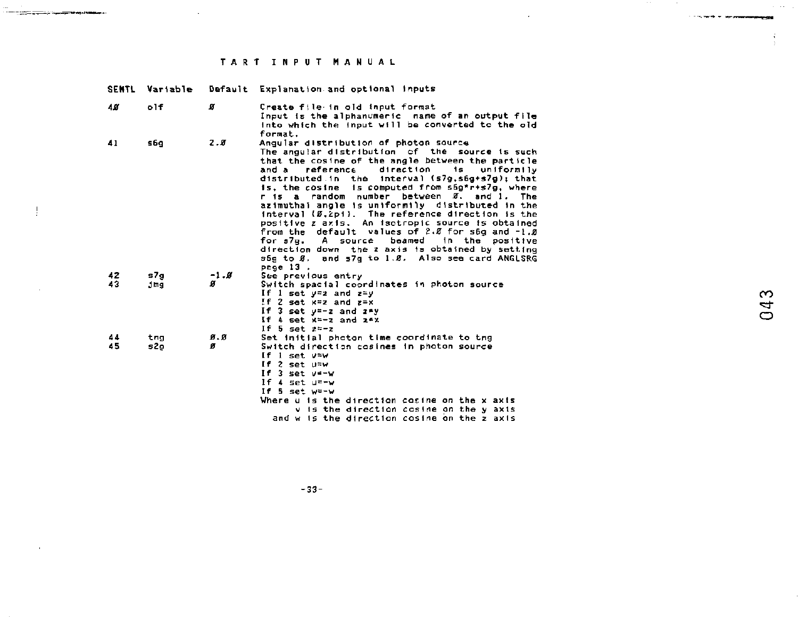**Contract Contract** 

 $\bar{1}$ 

 $\sim 10^{-7}$ 

---

| <b>SENTL</b> | Variable   |          | Default Explanation and optional inputs                                                                                                                                                                                                                                                                                                                                                                                                                                                                                                                                                                                                                                                                                                   |                          |
|--------------|------------|----------|-------------------------------------------------------------------------------------------------------------------------------------------------------------------------------------------------------------------------------------------------------------------------------------------------------------------------------------------------------------------------------------------------------------------------------------------------------------------------------------------------------------------------------------------------------------------------------------------------------------------------------------------------------------------------------------------------------------------------------------------|--------------------------|
| 48           | o1f        | ø        | Create file in old input format<br>Input is the alphanumeric name of an output file<br>into which the input will be converted to the old<br>format.                                                                                                                                                                                                                                                                                                                                                                                                                                                                                                                                                                                       |                          |
| 41           | s6q        | 7.5      | Angular distribution of photon source<br>The angular distribution of the source is such<br>that the cosine of the angle between the particle<br>and a reference<br>direction<br>1s<br>uniformily<br>distributed in the interval (s7g.s6g+s7g); that<br>is, the cosine is computed from s6g*r+s7g, where<br>r is a random number between Ø, and 1. The<br>azimuthai angle is uniformily distributed in the<br>interval (Ø.2p1). The reference direction is the<br>positive z axis. An isotropic source is obtained<br>from the default values of 2.0 for s6g and -1.0<br>A source<br>beamed in the positive<br>for s7p.<br>direction down the z axis is obtained by setting<br>s6g to Ø, and s7g to 1.0. Also see card ANGLSRG<br>page 13. |                          |
| 42<br>43     | s7g<br>dmg | $-1.8$   | See previous entry<br>Switch spacial coordinates in photon source<br>If 1 set $y=z$ and $z=y$<br>If 2 set $x=z$ and $z=x$<br>If 3 set y=-z and z*y<br>If $4$ set $x=-x$ and $x \in x$<br>If 5 set $z=-z$                                                                                                                                                                                                                                                                                                                                                                                                                                                                                                                                  | $\infty$<br>4<br>$\circ$ |
| 44<br>45     | tna<br>s2o | Ø.Ø<br>ø | Set initial photon time coordinate to tng<br>Switch direction cosines in photon source<br>If $1$ set $v=w$<br>If $2$ set $u=w$<br>If $3$ set $v=-w$<br>If $4$ set $u = -v$<br>If 5 set w=-w<br>Where u is the direction cosine on the x axis<br>v is the direction cosine on the y axis<br>and w is the direction cosine on the z axis                                                                                                                                                                                                                                                                                                                                                                                                    |                          |

043

**CONTRACTOR** 

 $\frac{1}{2}$ 

 $\sim 100$ 

 $-33-$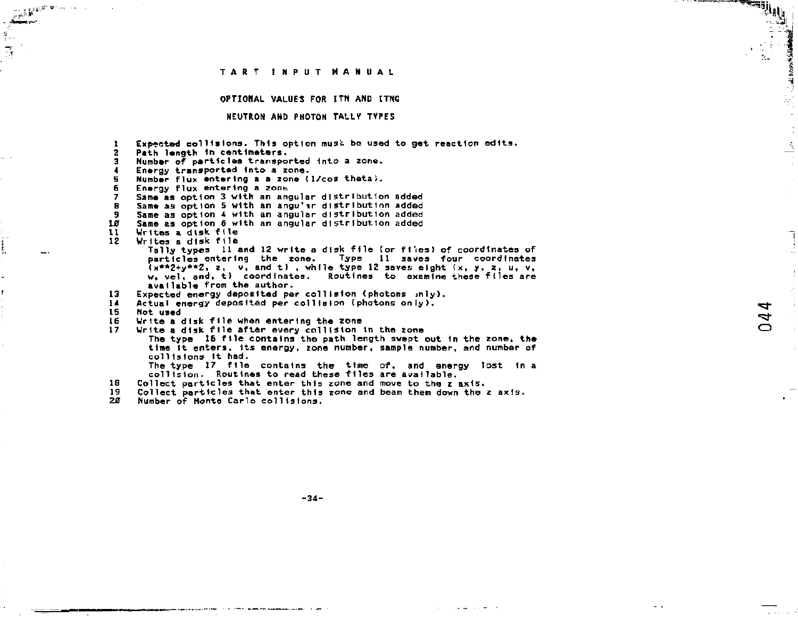**OPTIONAL VALUES FOR ITN ANP ITNG** 

#### **NEUTRON AND PHOTON TALLY TYPES**

**1 Expected collisions. This option musi. be used to get reaction edits. 2 Path length In centimeters. 3 Number of particles transported into a zone. 4 Energy transported Into a zone. 5 Number flux entering a a zone (1/cos thetaJ. 6 Energy flux entering a zone**<br>**7** Same as ontion 3 with an and **7 Same as option 3 with an angular distribution added 8 Same as option 5 with an angu'ir distribution added 9 Same as option 4 with an angular distribution added**  *10* **Same as option 6 with an angular distribution added 11 Writes a disk file 12 Writes a disk file Tally types 11 and 12 write a disk file tor f1\*ies) of coordinates of particles entering the zone. Type 11 saves four coordinates <x\*\*2+y\*\*Zi z, v. and t> , while type 12 saves eight <x, y.** *z,* **u, v, w, vel. and. t) coordinates. Routines to examine these flies are available from the author. 13 Expected energy deposited per collision (photons inly). 14 Actual energy deposited per collision (photons only). 15 Not used 16 Write a disk file when entering the zone 17 Urlte a disk file after every collision 1n the zone The type 16 file contains the path length swept out In the zone, the time It enters, its energy, zone number, sample number, and number of**  collisions it had. **The type 17 file contains the time of, and energy lost in a collision- Routines to read these files are available.** 

- 
- **IS Collect particles that enter this zone and move to the z axis,**
- **19 Collect particles that enter this zone and bean them down the z axis.**
- **20 Number of Monte Carlo collisions.**

 $\mu_{\mathcal{C}}(y)$  .

 $\sim$ 

¢

and the contract of the contract of the contract of the contract of the contract of the contract of the contract of the contract of the contract of the contract of the contract of the contract of the contract of the contra

 $\mathcal{U}_\alpha$ 

**-34-**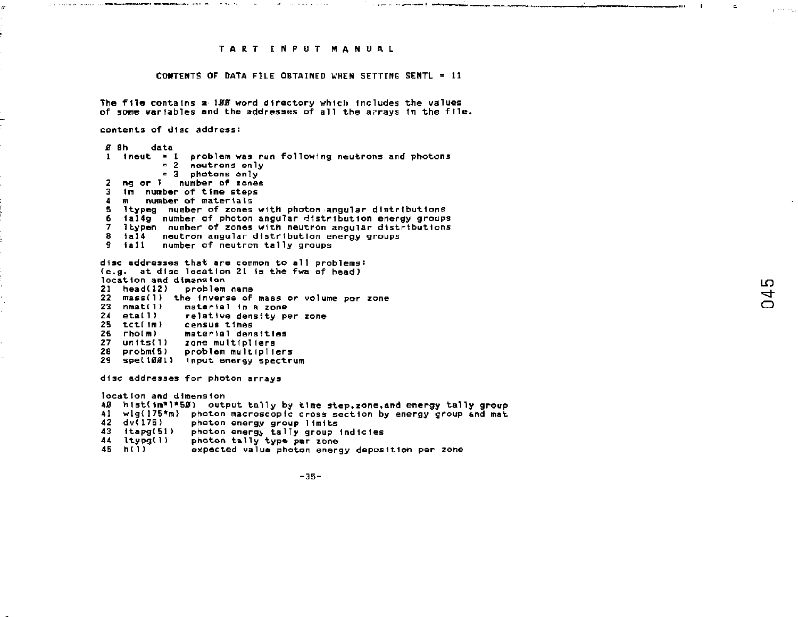communication of the communication of the communication of the communication of the communication of the communication of the communication of the communication of the communication of the communication of the communicatio

the common contract of the common

#### **CONTENTS OF DATA FILE OBTAINED WHEN SETTING SENTL = 11**

**The file contains a** *\BB* **word directory which includes the values of some variables and the addresses of all the arrays In the file.** 

**contents of disc address:** 

*£* **flh data 1 ineut • 1 problem was run following neutrons and photons = 2 neutrons only = 3 photons only 2 ng or 1 number of zones 3 fin number of time steps 4 m number of materials 5 Itypeg number of zones with photon angular distributions 6 1al4g number of photon angular distribution energy groups 7 Itypen number of zones with neutron angular distributions 8 1a14 neutron angular dlstrlbutIon energy groups 9 tall number of neutron tally groups** 

**disc addresses that are common to all problems: (e.g. at disc location 21 Is the fwa of head) location and dimension 21 head(12) problem name 22 mass(l) the Inverse of mass or volume per zone 23 nmati1 ) mater Ial 1n a zone 24 etatl) relative density per zone 25 tctC1m) census times 26 rhoCm) material densities 27 unlts(l) zone multipliers 28 probm<5) problem multipliers 29 spellflfll) input energy spectrum** 

**disc addresses for photon arrays** 

**locatton and dlmensIon**  *40* **h Ist< ln"T"5jEr} output tally by time step,zone<sup>t</sup> and energy tally group 41 wlg{175\*«i> photon macroscopic cross section by energy group and mat 42 dv<17S ) photon energy group limits 43 ItapgCBl) photon energy tally group Indlcles 44 ItypgCl) photon tally type per ion© 45 h(l) expected value photon energy deposition per zone** 

 $-35-$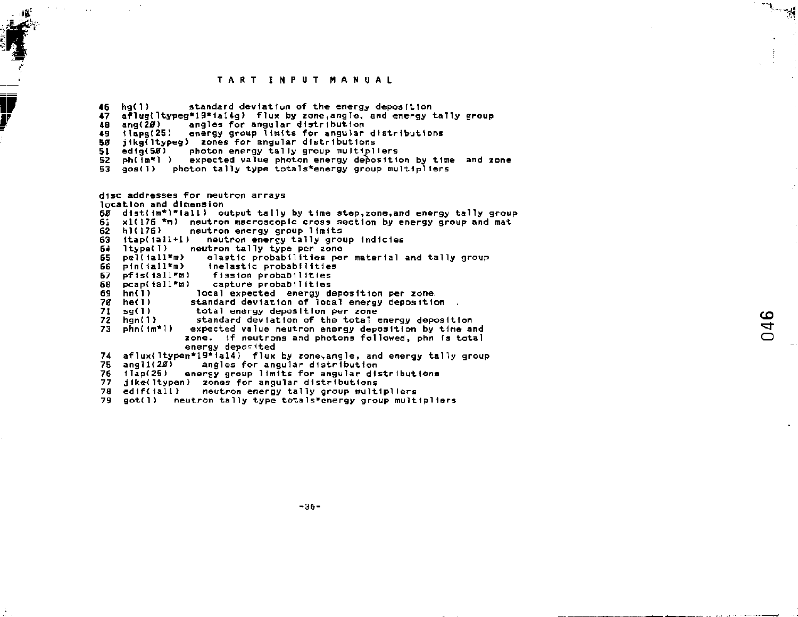46 hg<1) standard deviation of the energy deposition 47 af!ugt1typeg\*l9\*1al4g) flux by zone,angle, and energy tally group 48 ang(20) angles for angular distribution<br>49 (lapg(25) energy group limits for angular energy group limits for angular distributions 50 jikg(ltypeg) zones for angular distributions<br>51 edio(50) oboton energy tally group multipl 51 edig(Sff) photon energy tally group multipliers 52 ph(im\*l) expected value photon energy deposition by time and zone<br>53 gos(i) photon tally type totals\*energy group multipliers gos(1) photon tally type totals\*energy group multipliers

disc addresses for neutron arrays location and dimension

- $65$  distim\*l\*iall) output tally by time step,zone,and energy tally group<br>61 x1(176 \*m) neutron macroscopic cross section by energy group and mat
- 61 x1(176 \*m) neutron macroscopic cross section by energy group and mat<br>62 b1(176) section energy group limits
- 62 hl(176) neutron energy group limits<br>63 itap(jall+1) neutron energy tally grou
- 63 itap(iall+1) neutron enercy tally group indicies<br>64 ltype(1) neutron tally type per zone
- 64 Itypetl) neutron tally type per zone
- 65 pel(1all\*m) elastic probabilities per material and tally group<br>66 pin(1all\*m) thelastic probabilities
- 66 pin(iall\*m) inelastic probabilities<br>67 pfis(iall\*m) fission probabilities
- 67 pfis(iall<sup>o</sup>m) fission probabilities<br>68 pcap(iall<sup>o</sup>m) capture probabilities
- 68 pcap(iall\*m) capture probabilities
- 69 hn<1) local expected energy deposition per zone.
- 7*0* he(I) standard deviation of local energy deposition<br>71 so(I) total energy deposition per zone
- 71 sg(1) total energy deposition per zone<br>72 hgn(1) standard deviation of the total
- 72 hgn(1) standard deviation of the total energy deposition  $73$  phn( $1m*1$ ) expected value neutron energy deposition by time a
- expected value neutron energy deposition by time and zone. If neutrons and photons followed, phn is total energy deposited
- 74 af  $l$ ux( ltypen\*19\* 1al4) flux by zone-angle, and energy tally group<br>75 angli (28) angles for angular distribution
- angles for angular distribution
- 76 11ap(25) energy group limits for angular distributions
- 77 jike(Itypen) zones for angular distributions<br>78 edif(iall) neutron energy tally group mult
- neutron energy tally group multipliers
- 79 got(1) neutron tally type totals»energy group multipliers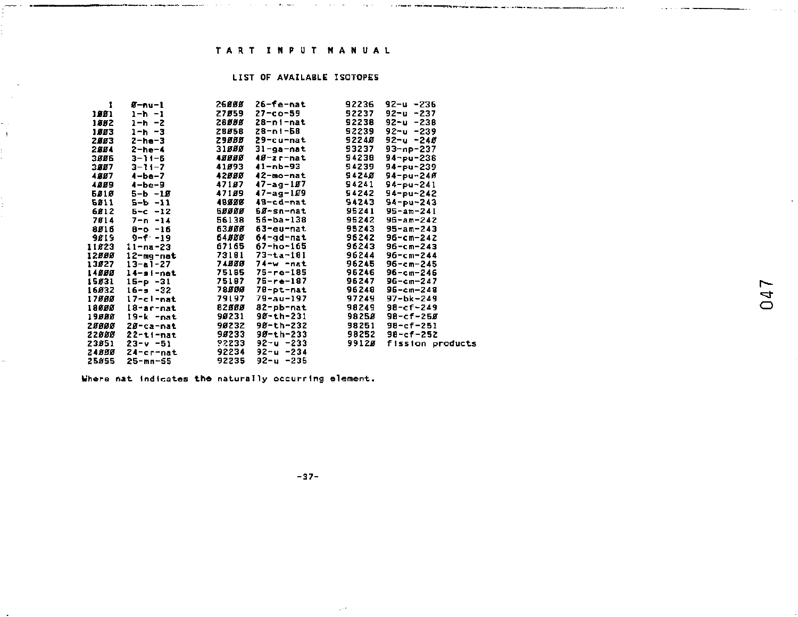contract and an

 $\label{eq:1} \begin{split} \mathcal{L}(\mathcal{L}) & = \mathcal{L}(\mathcal{L}) \mathcal{L}(\mathcal{L}) \mathcal{L}(\mathcal{L}) \mathcal{L}(\mathcal{L}) \mathcal{L}(\mathcal{L}) \mathcal{L}(\mathcal{L}) \mathcal{L}(\mathcal{L}) \mathcal{L}(\mathcal{L}) \mathcal{L}(\mathcal{L}) \mathcal{L}(\mathcal{L}) \mathcal{L}(\mathcal{L}) \mathcal{L}(\mathcal{L}) \mathcal{L}(\mathcal{L}) \mathcal{L}(\mathcal{L}) \mathcal{L}(\mathcal{L}) \mathcal{L}(\mathcal{L}) \math$ 

the contract and service

## LIST OF AVAILABLE ISOTOPES

| 1     | $B - nu - 1$   | 26888  | 26-fe-nat       | 92236  | 92-u -236         |
|-------|----------------|--------|-----------------|--------|-------------------|
| 1881  | 1-h -1         | 27859  | $27 - c - 59$   | 92237  | $92 - u - 237$    |
| 1882  | 1-h -2         | 26888  | 28-ni-nat       | 92238  | 92-u -238         |
| 1553  | 1-h -3         | 26058  | 28-ni-58        | 92239  | 92~u -239         |
| 2.553 | $2 - h = -3$   | 29888  | 29-cu-nat       | 92240  | 92-u -24Ø         |
| 2884  | $2 - h e - 4$  | 31556  | 31-ga-nat       | 93237  | 93-np-237         |
| 3556  | $3 - 11 - E$   | 48888  | 40-zr-nat       | 94238  | 94-pu-236         |
| 3887  | $3 - 11 - 7$   | 41593  | 41-nb-93        | 94239  | 94-pu-239         |
| 4887  | $4 - b - 7$    | 42888  | 42-mo-nat       | 94240  | $94 - pu - 240$   |
| 4889  | $4 - b = -9$   | 47157  | $47 - aq - 157$ | 94241  | $94 - pu - 241$   |
| 5818  | 5-ь -12        | 47159  | $47 - aq - 109$ | 94242  | 94-pu-242         |
| 6811  | 5-ь -11        | 48888  | 48-cd-nat       | 94243  | $94 - pu - 243$   |
| 6812  | $5 - c - 12$   | 58888  | 50-sn-nat       | 95241  | $95 - am - 241$   |
| 7814  | 7-n -14        | 56138  | 56-ba-138       | 95242  | $95 - am - 242$   |
| 8916  | $B - 0 - 16$   | 63.888 | 63-eu-nat       | 95243  | 95-am-243         |
| 9819  | $9 - 5 - 19$   | 64888  | 64-ad-nat       | 96242  | 96-cm-242         |
| 11823 | $11 - na - 23$ | 67165  | 67-ho-165       | 96243  | 96-cm-243         |
| 12000 | 12-mg-nat      | 73181  | $73 - t - 101$  | 96244  | 96-cm-244         |
| 13827 | 13-a1-27       | 74888  | 74-w -nat       | 96245  | 96-cm-245         |
| 14888 | 14-si-nat      | 75185  | 75-re-185       | 96246  | 96-ст-246         |
| 15831 | 15-p -31       | 75187  | 75-re-187       | 96247  | 96-cm-247         |
| 16032 | $16 - s - 32$  | 78555  | 78-pt-nat       | 96248  | 96-cm-248         |
| 17888 | 17-cl-nat      | 79197  | 79-au-197       | 97249  | 97-bk-249         |
| 18650 | 18-ar-nat      | 82900  | 82-pb-nat       | 98249  | 98-cf-249         |
| 19000 | 19-k -nat      | 90231  | 90-th-231       | 9825.8 | 98-cf-25 <i>B</i> |
| 28888 | 20-ca-nat      | 90232  | 90-th-232       | 98251  | 98-cf-251         |
| 22000 | 22-ti-nat      | 95233  | 90-th-233       | 98252  | 98-cf-252         |
| 23851 | $23-v - 51$    | 92233  | 92-u -233       | 99125  | fission products  |
| 24850 | 24-cr-nat      | 92234  | 92-и -234       |        |                   |
| 25855 | 25-mn-65       | 92235  | 92-и -235       |        |                   |

Where nat indicates the naturally occurring element.

 $\pm$ 

 $-37-$ 

 $\sim$ 

. . . . . . . .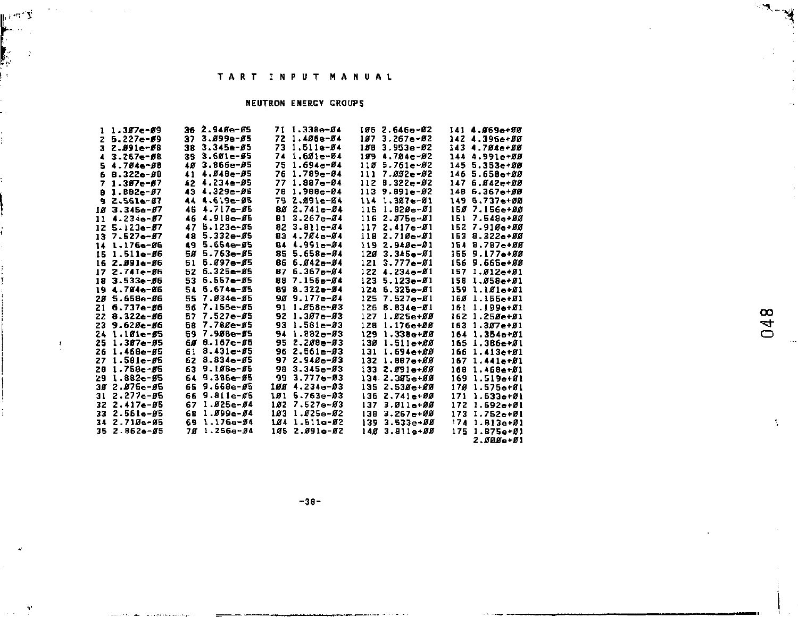page 19

 $\mathbf{r}$ 

## **NEUTRON ENERGY GROUPS**

| ъ                | $1.387 - 09$    | 36 2.94 <i>8</i> e- <i>8</i> 5 | $1.338e - 04$<br>71   | 105 2.646e-02        | 141 4.869e+88          |
|------------------|-----------------|--------------------------------|-----------------------|----------------------|------------------------|
|                  | $2 5.227e-69$   | $3.099e-05$<br>37.             | 72 1.406e-04          | $187.3.267e - 02$    | 142 4.396e+ØØ          |
|                  | 3 Z.S91e-S8     | $3.345e-05$<br>38.             | $1.511e-84$<br>73     | 108 3.953e-02        | 143 4.704-+00          |
| $\blacktriangle$ | $3.267 - 08$    | $353.601 - 05$                 | $1.681 - 84$<br>74    | 199 4.784e-82        | 144 4.991e+00          |
|                  | 5 4.704e-08     | $3.866 - 95$<br>18             | $1.694e - 04$<br>75   | $1185.761e-82$       | $145.5.353 + 88$       |
| 6                | B.322e-ØB       | $4.848 - 05$<br>41             | $1.789 - 04$<br>76    | $1117.092 - 02$      | 146 5.65Be+88          |
|                  | $71.387e-07$    | 42 4.234e-05                   | 77<br>$1.887 - 04$    | $112 B.322 - 82$     | 147 6.842-+88          |
| B                | $1.882 - 07$    | 43 4.329e-05                   | $1.988 - 04$<br>78    | $113.9.091e-02$      | 148 6.367e+00          |
|                  | 9 2.561e-87     | 44 4.619e-85                   | $2.891 - 84$<br>79    | $114$ $1.387e-81$    | 149 6.737e+00          |
| 18               | $3.345a - 67$   | $4.717e - 05$<br>45            | $2.741e - 04$<br>80   | $115$ $1.928 - 81$   | 150 7.156e+00          |
| 11               | $4.234 - 07$    | $4.918e - 05$<br>46            | $3.267 - 84$<br>81    | $1162.075e-01$       | 151 7.548e+00          |
| 12               | $5.123e-07$     | $5.123e - 05$<br>47            | $3.811e - 04$<br>82   | 117 2.417e-01        | 152 7.910e+00          |
| 13.              | $7.527 - 07$    | $5.332 - 65$<br>48             | 83<br>$4.781e-84$     | $1182.718 - 81$      | 153 8.3226+00          |
| 14               | 1.176e-06       | $5.654e-65$<br>49              | $4.991 - 04$<br>84    | $1192.948 - 81$      | 154 8.7876+00          |
| 16               | $1.511e-0.6$    | $5.753 - 0.5$<br>50            | $5.658 - 34$<br>85    | 120<br>$3.345 - 01$  | 155 9.177e+00          |
| 16               | $2.891a - 86$   | 5.097e-05<br>51                | 86<br>$5.842 - 84$    | $3.777 - 01$<br>121  | 156 9.665e+00          |
| 17               | $2.741e-06$     | $6.325e - 05$<br>52            | $6.367e - 04$<br>87   | $122$ 4.234e-01      | 157<br>$1.912 - 01$    |
| 18               | $3.533 + 0.06$  | $6.557e-05$<br>53              | $7.155e - 04$<br>89   | $1235.123 - 81$      | $158$ $1.958$ e $+91$  |
| 19               | 4.784e-86       | $5.674e - 55$<br>54            | 89<br>$8.322 - 94$    | $124, 6.325 - 0.01$  | $1591.181 - 81$        |
| 28               | 5.658e-Ø6       | 55 7.834e-85                   | $9.177 - 84$<br>90    | $1257 - 527 - 81$    | 160 1.155e+01          |
| 21               | $6.737e-0.0$    | 56 7.155e-05                   | 1.858e-03<br>91       | $1268.834e-01$       | 161 1.199e+Ø1          |
| 22               | $8.322e - 8b$   | 57 7.527e-05                   | 92 1.307a-03          | $1271.025e+0.0$      | 162 1.25Se+S1          |
| 23               | $9.620e - 06$   | 7.780e-05<br>58                | 93 1.581e-03          | 128 1.176e+ØØ        | $163$ $1.387$ e+ $81$  |
|                  | 24 1.101e-05    | 59 7.988e-#5                   | $941.882e-03$         | 129 1.338e+ØØ        | 164 1.354a+Ø1          |
| 25               | $1.387e - 95$   | $0.167 - 0.5$<br>68            | 2.200e-03<br>95       | 130 1.511e+00        | $1.386e + 01$<br>165   |
| 26               | $1.468 - 65$    | $8.431 - 05$<br>61             | 96 2.561e- <i>8</i> 3 | 131<br>$1.694e + 88$ | 166<br>$1.413e+01$     |
| 27               | $1.501e-05$     | $8.834 - 05$<br>62             | $2.948 - 83$<br>97    | 132 1.887e+00        | $1671.441e+01$         |
| 28               | $1.758 - 05$    | $9.188 - 05$<br>63             | 98<br>$3.345e - 03$   | $1332.991 + 88$      | 168<br>$1.468e + 01$   |
| 29               | $1.882e - 95$   | 9.385e-05<br>64.               | $3.777 - 83$<br>99    | 134 2.305e+00        | 169 1.519e+ <i>8</i> 1 |
| 30               | $2.875e - 0.5$  | $9.668e - 65$<br>65            | 100 4.234e-03         | $1352.538 + 88$      | 170 1.575e+01          |
| 31               | $2.277e - 05$   | $66$ 9.811e- $65$              | $1015.763e-03$        | 136 2.741e+00        | 171<br>$1.633 + 21$    |
|                  | $322.417e-85$   | 67 1.025e-04                   | 102 7.527e-03         | $1373.511e+88$       | $1721.692e+01$         |
|                  | $332.561e - 85$ | 1.099e-04<br>68                | 103 1.025e-02         | $138, 3.267 + 99$    | $1731.752 + 01$        |
|                  | 34 2.715e-95    | 69 1.176e-Ø4                   | 104 1.511e-02         | $1393.533e + 88$     | $1741. B13e+B1$        |
|                  | $352.862e - 85$ | $1.256e - 04$<br>78            | 105 2.091e-02         | 148 3.811e+88        | 175 1.875e+01          |
|                  |                 |                                |                       |                      | $2.000e + 01$          |

048

 $-38-$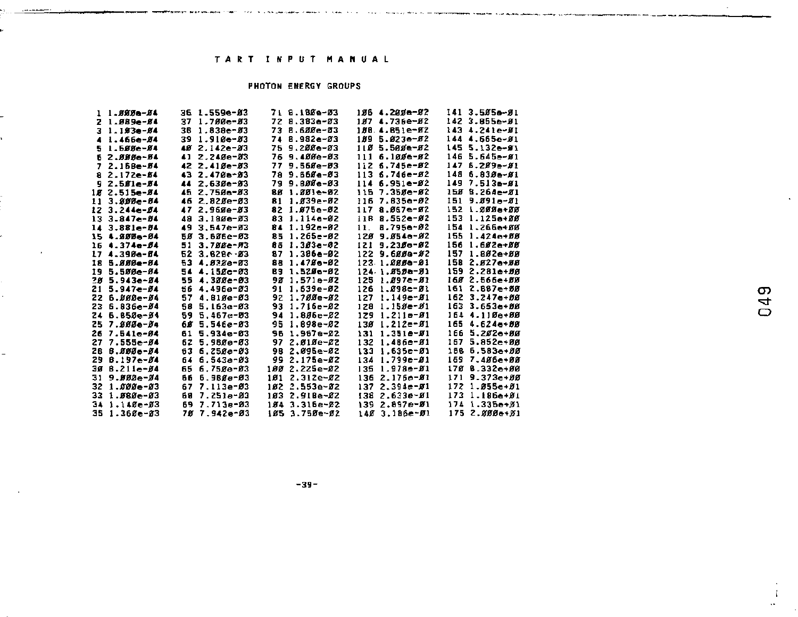s conceptuales comerciales and con-

 $\sim$ 

service and the component of the contract of the contract of the contract of the contract of the contract of the

.<br>Alikuwa mwaka wa 1990 hama wa 1990

-------

## **PHOTON ENERGY GROUPS**

|                | 1 1.883e-84      |     | 36 1.559e-83  |     | 7. 8.180e-03      |     | 186 4.200e-82     |     | 141 3.505e-01   |
|----------------|------------------|-----|---------------|-----|-------------------|-----|-------------------|-----|-----------------|
| 2              | $1.989 - 84$     | 37  | $1.700 - 03$  |     | 72 8.383-83       |     | 107 4.736e-02     |     | 142 3.855e-81   |
| з              | $1.193e-84$      | 38  | $1.830 - 03$  |     | 73 8.600e-03      |     | 188 4.851e-82     |     | 143 4.241e-#1   |
| 4              | $1.466e - 04$    | 39  | $1.910 - 03$  | 74  | 8.982e-03         | 189 | $5.023e - 02$     |     | 144 4.665e-81   |
| 5              | $1.588 - 84$     |     | 40 2.142e-03  | 75  | $9.200e - 03$     |     | 110 5.500e-02     |     | 145 5.132e-#1   |
| 6              | 2.ЯННе-В4        | 41  | $2.748e - 83$ | 76  | 9.400e-03         |     | $1116.109e-02$    |     | $1465.645 - 61$ |
| $\overline{ }$ | $2.168e - 04$    |     | 42 2.41Øe-Ø3  | 77  | 9.558e-03         |     | $1:26.745e-02$    |     | $1475.289 - 81$ |
| 8              | $2.172e - 64$    | 43. | $2.470e - 03$ |     | 78 9.668e-03      |     | $113.6.746e - 82$ |     | $1486.839 - 81$ |
| ۹              | $2.501e-04$      | 44  | 2.630e-03     |     | 79 9.800e-03      |     | $114.6.951e-0.2$  |     | $1497.513 - 81$ |
|                | 18 2.515e-84     |     | 45 2.750e-03  |     | 88 1.001e-02      | 115 | 7.350e-02         |     | 158 B.264e-81   |
| 11             | $3.888e - 84$    | 46  | 2.82Øe-Ø3     | 81  | $1.039e-02$       |     | 116 7.835e-02     | 151 | $9.891 - 81$    |
|                | $123.244 - 54$   | 47  | $2.969e-03$   |     | 82 1.875e-02      |     | 117 8.067e-02     |     | 152 1.2006+00   |
| 13             | $3.847 - 84$     | 48  | $3.188e-03$   |     | 83 1.1146-02      |     | 118 8.552e-#2     | 153 | $1.1250 + 88$   |
|                | $14.3.881e-84$   | 49  | $3.547e - 03$ |     | 84 1.1926-02      | 11. | B.795e-02         |     | 154 1.265e+00   |
|                | 15 4.885e-84     | БΜ. | 3.606e-03     |     | 85 1.265e-02      |     | 120 9.054e-02     |     | 155 1.424e+88   |
|                | $164.374e-04$    | 51  | 3.788e-A3     |     | 85 1.303e-02      |     | 121 9.2300-02     |     | 156 1.602e+00   |
|                | 17 4.398e-84     |     | 52 3.8286-83  |     | $87, 1.386e - 02$ |     | 122 9.688a-82     | 157 | $1.802 + 00$    |
| 18             | 5.880e-84        | 53  | 4.833a-83     |     | 88 1.478e-82      |     | 123 1.0000-01     |     | 158 2.827e+88   |
| 19             | $5.580e-04$      | 54  | 4.15fe-03     |     | 89 1.525e-82      |     | 124 1.8520-21     | 159 | 2.281e+56       |
| 28             | 5.943e-04        | 55  | $4.300e-03$   |     | 90 1.571e-02      | 125 | 1.097e-01         |     | 168 2.566e+BB   |
| 21             | $5.947e-04$      | 56  | $4.496e-03$   | 91  | $1.639e-02$       | 126 | $1.898c - 81$     |     | 161 2.887e+60   |
| 22             | 6.000e-04        | 57  | 4.B10e-03     |     | 92 1.700e-02      | 127 | $1.149e - 01$     |     | 162 3.2476+00   |
| 23             | $5.836e - 64$    | 58  | $5.163e-03$   | 93. | $1.716e - 02$     | 128 | $1.150 - 01$      |     | 163 3.6536+00   |
| 24             | $6.850e-0.1$     | 59  | $5.467e - 03$ | 94  | $1.896e - 02$     | 129 | $1.211 - 01$      |     | 164 4.110e+00   |
| 25             | 7.888e-54        | 68  | $5.546e-03$   | 95  | 1.898e-02         | 130 | $1.212 - 01$      |     | 165 4.624e+88   |
| 26             | $7.541e - 84$    | 61  | $5.934e-03$   |     | 96 1.967e-02      | 131 | $1.351e-71$       | 166 | $5.202 + 00$    |
| 27             | $7.555 - 64$     | 62  | $5.9800 - 03$ | 97  | 2.010e-02         | 132 | $1.4860 - 01$     | 167 | $5.852 + 88$    |
| 28             | <b>B.880e-04</b> | 63  | $6.750a-03$   | 98  | 2.095e-02         | 133 | $1.635e - 01$     |     | 156 6.583e+00   |
| 29             | $B.197e-04$      | 64  | $6.543a - 03$ | 99. | 2.175e-Ø2         | 134 | $1.799e - 21$     |     | 169 7.406e+00   |
| 38.            | $B.211e-04$      | 65  | $6.7500 - 03$ | 188 | 2.225e-02         | 135 | $1.978 - 01$      |     | 170 B.332e+00   |
| 31             | 9.000e-04        | 66  | 6.9Bga-03     | 181 | $2.312e - 02$     | 136 | $2.1760 - 01$     | 171 | $9.373 + 00$    |
| 32             | $1.000 - 03$     | 67  | 7.113e-03     |     | 102 2.553e-02     |     | 137 2.394e-Ø1     | 172 | $1.955e + 01$   |
| 33             | $1.980 - 03$     | 68  | 7.2510-03     |     | 103 2.918e-02     |     | 138 2.633e-Ø1     | 173 | $1.186e + 01$   |
| 34             | $1.140e - 03$    | 69  | $7.713e-23$   |     | 154 3.316e-22     |     | 139 2.897e-Ø1     | 174 | $1.335e + 01$   |
| 35             | $1.360e - 03$    |     | 78 7.942e-03  |     | 105 3.750e-02     |     | 140 3.186e-01     |     | $1752.888e+81$  |
|                |                  |     |               |     |                   |     |                   |     |                 |

 $-39-$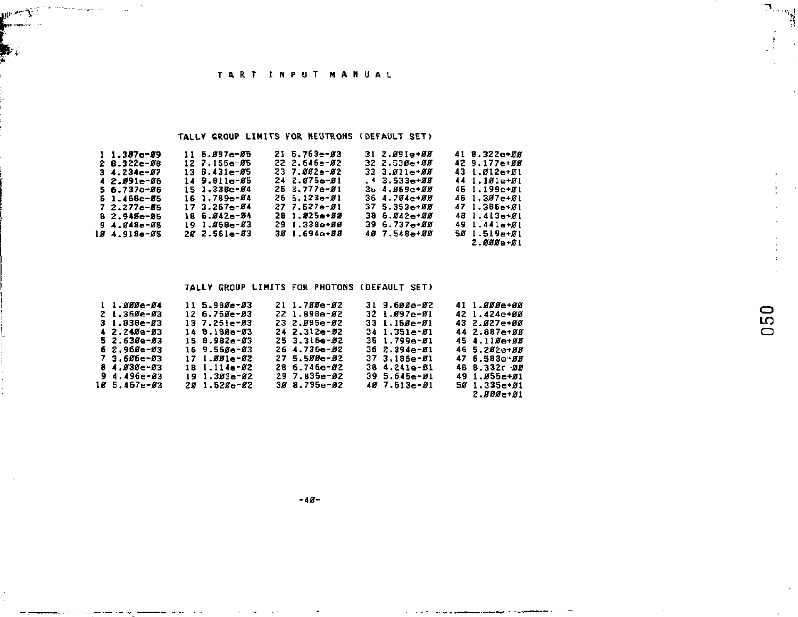**UPANY** Comment was a

.<br>A santa com a promocentario

ومحمد

سأحدث

## TALLY GROUP LIMITS FOR NEUTRONS (DEFAULT SET)

## TALLY GROUP LIMITS FOR PHOTONS (DEFAULT SET)

| 1 1.000e-04      | 11 5.980e-03     | 21 1.70De-02          | 31 9.600e-02          | 41 1.888=+88       |
|------------------|------------------|-----------------------|-----------------------|--------------------|
| $21.360e-03$     | $12, 6.758 - 83$ | 22 1.898e-02          | $321.897 - 81$        | 42 1.424=+88       |
| $31.838e - 83$   | 137.251-83       | 23 2.895e-82          | $331.158e - 81$       | $43, 2.927 + 0.07$ |
| $4.7.740e-03$    | 14 B.180-93      | 24 2.312e-M2          | $341.351 - 51$        | 44 2.887e+00       |
| 5 2.630e-03      | $15.8.982 - 63$  | $25.3.315e - 0.2$     | 35 1.799e- <i>0</i> 1 | 45 4.118e+88       |
| 6 2.960e-03      | 16 9.560-03      | 26 4.735e-82          | $36, 2.394 - 01$      | 46 5.202-+88       |
| 7 3.606e-03      | $171.881e-82$    | 27 5.500e-02          | $37, 3.186e - 01$     | 47 6.583e 00       |
| 8 4.830e-83      | $181.114e-02$    | 28 6.746e- <i>0</i> 2 | 38 4.241e-51          | 48 8.332r 99       |
| 94.496e-03       | $191.383a - 82$  | 29 7.835e- <i>0</i> 2 | $39.5.645e - 0.01$    | 49 1.055e+01       |
| $10.5.467e - 03$ | 20 1.520e-02     | 30 8.795e-02          | 40 7.513e-01          | 501.335e 01        |
|                  |                  |                       |                       | $2.000 - 01$       |

**The Committee of Committee Committee Service** 

الي<sup>ن...</sup>7.<br>أ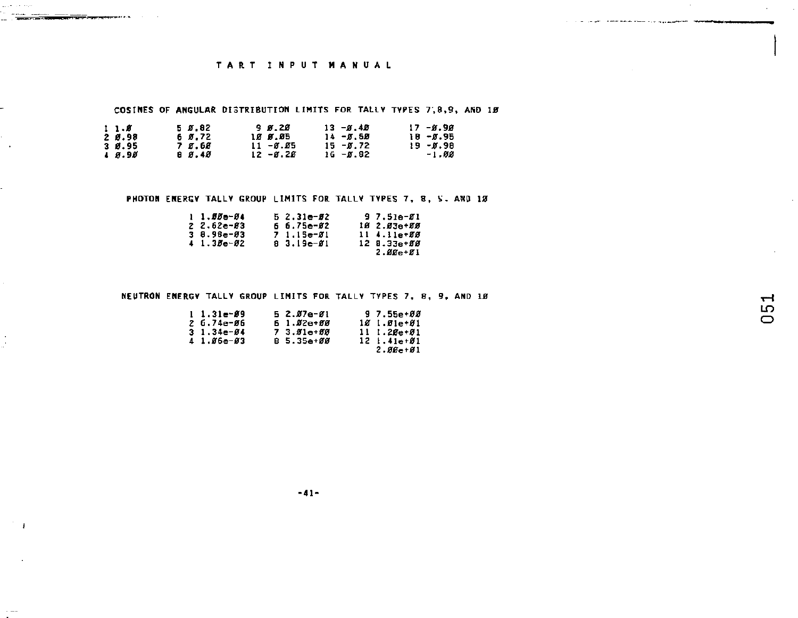COSINES OF ANGULAR DISTRIBUTION LIMITS FOR TALLY TYPES 7,8,9, AND 19

| 11.8          | 5 5.82 | 98.28            | $13 - 6.48$ | $17 - 8.98$ |
|---------------|--------|------------------|-------------|-------------|
| 2 0.98        | 6 Ø.72 | 1 <i>8 B.B</i> 5 | $14 - 0.50$ | 18 - Ø.95   |
| 3 Ø.95        | 7 S.GE | $11 - 8.85$      | $15 - 0.72$ | $19 - 0.98$ |
| <b>A</b> 8.98 | 8 8.48 | $12 - 8.26$      | $16 - 0.82$ | -1.00       |

of the local contract of the company of the company and the second of the contract of the contract of the contract of the contract of the contract of the contract of the contract of the contract of the contract of the cont

 $\rightarrow$ 

 $\mathbf{I}$ 

 $\sim$   $-$ 

PHOTON ENERGY TALLY GROUP LIMITS FOR TALLY TYPES 7, 8, S. AND 18

| $1 \cdot 556 - 34$ | $52.31e-22$  | $97.51e-81$     |
|--------------------|--------------|-----------------|
| $2.52 - 83$        | $6.75 - 62$  | 10 2.03a+88     |
| $3.8.98 - 03$      | $71.15 - 01$ | $11.4.11e+88$   |
| $41.38e-82$        | $83.19e-01$  | $12 \t3.33e+55$ |
|                    |              | $2.88e + 81$    |

### NEUTRON ENERGY TALLY GROUP LIMITS FOR TALLY TYPES 7, 8, 9, AND 10

| $1 \quad 1 \quad 31 = -39$ | 5 2.07e-01 | $97.55 + 88$    |
|----------------------------|------------|-----------------|
| 2 G.74e-06                 | 6 1.02e+00 | $101 - 01 - 01$ |
| $31.34e-04$                | 7 3.81e+88 | $111.28 + 81$   |
| $41.86 - 83$               | B 5.35e+00 | $12 + 41 + 61$  |
|                            |            | $2.86e + 01$    |

the project of the second company is a program of the company of the second company of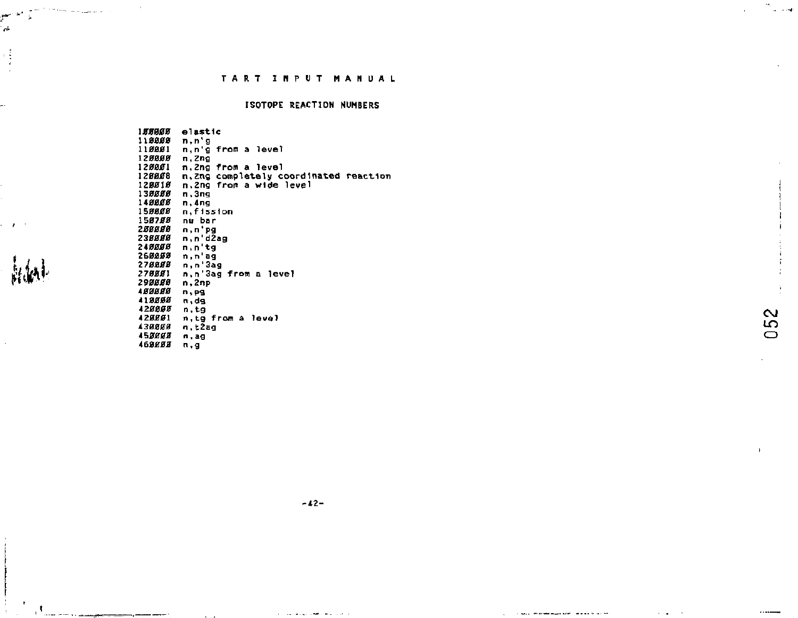## **ISOTOPE REACTION NUMBERS**

ساب

 $\sim$ 

ĩő

 $\bigcirc$ 

188888 elastic 118888 n, n'g 118881 n,n'g from a level 120000 n.Zng 120001 n.2ng from a level 128888 n, any from a fever<br>128888 n, 2ng from a wide level<br>138888 n, 3ng<br>138888 n, 3ng 148888 n.4ng 158888 n, fission 158788 nu bar 288888 n,n'pg<br>n,n'd2ag 238888 248888<br>248888  $n, n$ 'tg n,n'ag n, n 3ag 278888 278881<br>298888 n,n 3ag from a level  $n, 2np$ 488888  $n, pq$ 418888 428888 n,tg 428881 n.tg from a level 438888 n.t2ag 453888 n.ag 468888 n.g

a<br>Prime sanction of a

الحاسبي à. ą J.

 $\mathbf{r}$ 

 $\sim$ 

and a sign of the sign of  $\alpha$ 

the paper component and construction of the construction of the construction of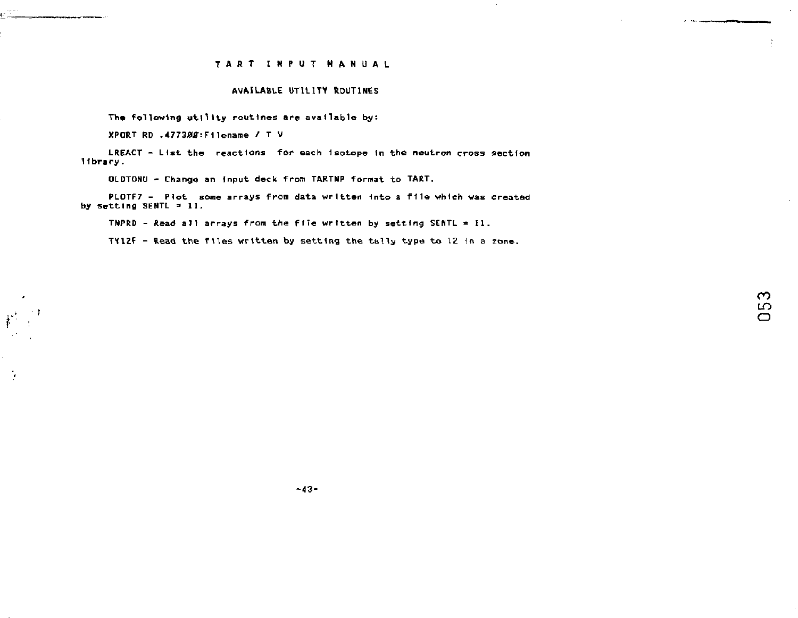### **AVAILABLE UTILITV ROUTINES**

**The following utility routines are available by:** 

**XPCRT RD .47730J0T:Filename /T V** 

÷,

**LREACT - List the reactions for each Isotope In the neutron cross section 11 bra ry.** 

**OLDTONU - Change an Input deck from TARTNP format to TART.** 

**PLOTF7 - Plot some arrays from data written Into a file whleh was created by setting SEHTL = 11.** 

**TNPRD - Read all arrays from the file written by setting SEHTL = II.** 

**TY12f - Read the files written by setting the tally type to 12 in** *a* **zone.** 

**The Company of Company of the Company** 

**-43-**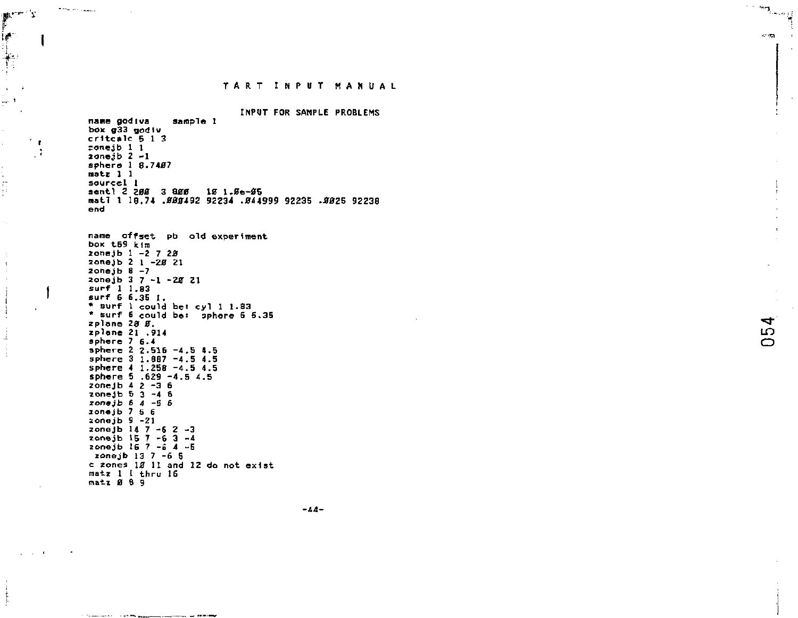INPUT FOR SAMPLE PROBLEMS name godiva sample 1 box g33 godiv  $critcale 5 1 3$  $conejb 11$  $zone<sub>1</sub>b<sub>2</sub> - 1$ sphere 1 8.7487  $n$ atz  $1$   $1$ sourcel I sentl 2 200 3 800 10 1.8e-85 mat1 1 10.74 .000492 92234 .044999 92235 .0025 92238 end

name offset pb old experiment box  $t = 9$   $\overline{km}$ zonejb  $1 - 2$  7 28 zonejo 2 1 -28 21 zonejb  $8 - 7$ zone ib 3 7 -1 -28 21  $surf$  1 1.83 surf 6 6.35 1. \* surf 1 could bet cyl 1 1.83 \* surf 6 could be: sphere 6 6.35 zplane 28 g. zplane 21 .914 sphere  $7.6.4$ sphere 2 2.516 -4.5 4.5 sphere 3 1.887 -4.5 4.5 sphere 4 1.258 -4.5 4.5 sphere 5 .629 -4.5 4.5 zonejb  $42 - 36$  $20neib 5 3 - 4 6$ zonejb  $6$   $4$  -5  $6$  $zonejb 7 5 6$  $zonej b 9 - 21$ zonejb  $14 \t7 - 6 \t2 - 3$ zonejh  $15.7 - 6.3 - 4$ zonejb 16 7 -a 4 -5 zonejb 13 7 -6 5 c zones 18 11 and 12 do not exist matz 1 I thru 16 matz Ø 8 9

**Commercial Contract Commercial** 

والمساور وللمرابط المحج

 $\mu^{\mu\nu\cdots\lambda}$ ia.

Ť.

 $\ddot{\phantom{a}}$ 

 $\mathbf{I}$ 

ţ

 $\mathbf{r}$ 

- 7

 $-44-$ 

54

 $\qquad \qquad \vdots \qquad \qquad \vdots \qquad \qquad \vdots \qquad \qquad \vdots \qquad \qquad \vdots \qquad \qquad \vdots \qquad \qquad \vdots \qquad \qquad \vdots \qquad \qquad \vdots \qquad \qquad \vdots \qquad \qquad \vdots \qquad \qquad \vdots \qquad \qquad \vdots \qquad \qquad \vdots \qquad \qquad \vdots \qquad \qquad \vdots \qquad \qquad \vdots \qquad \qquad \vdots \qquad \qquad \vdots \qquad \qquad \vdots \qquad \qquad \vdots \qquad \qquad \vdots \qquad \qquad \vdots \qquad \qquad \vdots \qquad \$ 

**SP 725**